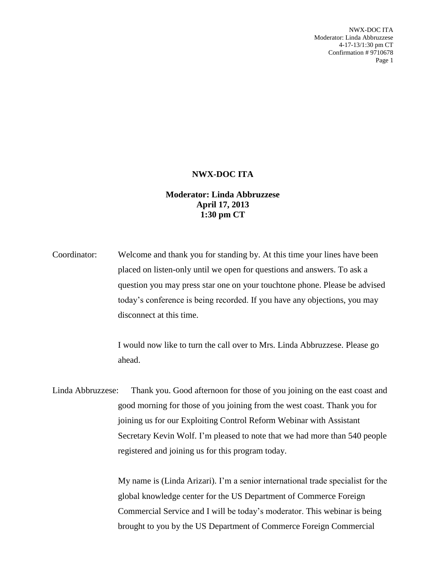NWX-DOC ITA Moderator: Linda Abbruzzese 4-17-13/1:30 pm CT Confirmation # 9710678 Page 1

## **NWX-DOC ITA**

## **Moderator: Linda Abbruzzese April 17, 2013 1:30 pm CT**

Coordinator: Welcome and thank you for standing by. At this time your lines have been placed on listen-only until we open for questions and answers. To ask a question you may press star one on your touchtone phone. Please be advised today's conference is being recorded. If you have any objections, you may disconnect at this time.

> I would now like to turn the call over to Mrs. Linda Abbruzzese. Please go ahead.

Linda Abbruzzese: Thank you. Good afternoon for those of you joining on the east coast and good morning for those of you joining from the west coast. Thank you for joining us for our Exploiting Control Reform Webinar with Assistant Secretary Kevin Wolf. I'm pleased to note that we had more than 540 people registered and joining us for this program today.

> My name is (Linda Arizari). I'm a senior international trade specialist for the global knowledge center for the US Department of Commerce Foreign Commercial Service and I will be today's moderator. This webinar is being brought to you by the US Department of Commerce Foreign Commercial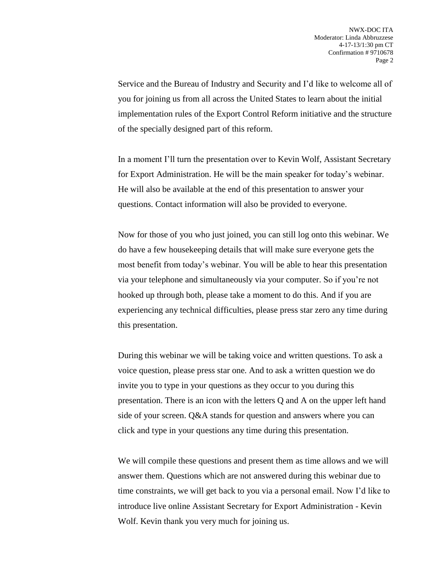Service and the Bureau of Industry and Security and I'd like to welcome all of you for joining us from all across the United States to learn about the initial implementation rules of the Export Control Reform initiative and the structure of the specially designed part of this reform.

In a moment I'll turn the presentation over to Kevin Wolf, Assistant Secretary for Export Administration. He will be the main speaker for today's webinar. He will also be available at the end of this presentation to answer your questions. Contact information will also be provided to everyone.

Now for those of you who just joined, you can still log onto this webinar. We do have a few housekeeping details that will make sure everyone gets the most benefit from today's webinar. You will be able to hear this presentation via your telephone and simultaneously via your computer. So if you're not hooked up through both, please take a moment to do this. And if you are experiencing any technical difficulties, please press star zero any time during this presentation.

During this webinar we will be taking voice and written questions. To ask a voice question, please press star one. And to ask a written question we do invite you to type in your questions as they occur to you during this presentation. There is an icon with the letters Q and A on the upper left hand side of your screen. Q&A stands for question and answers where you can click and type in your questions any time during this presentation.

We will compile these questions and present them as time allows and we will answer them. Questions which are not answered during this webinar due to time constraints, we will get back to you via a personal email. Now I'd like to introduce live online Assistant Secretary for Export Administration - Kevin Wolf. Kevin thank you very much for joining us.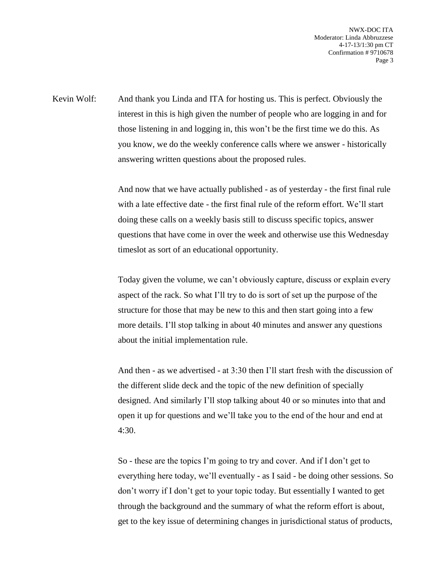NWX-DOC ITA Moderator: Linda Abbruzzese 4-17-13/1:30 pm CT Confirmation # 9710678 Page 3

Kevin Wolf: And thank you Linda and ITA for hosting us. This is perfect. Obviously the interest in this is high given the number of people who are logging in and for those listening in and logging in, this won't be the first time we do this. As you know, we do the weekly conference calls where we answer - historically answering written questions about the proposed rules.

> And now that we have actually published - as of yesterday - the first final rule with a late effective date - the first final rule of the reform effort. We'll start doing these calls on a weekly basis still to discuss specific topics, answer questions that have come in over the week and otherwise use this Wednesday timeslot as sort of an educational opportunity.

> Today given the volume, we can't obviously capture, discuss or explain every aspect of the rack. So what I'll try to do is sort of set up the purpose of the structure for those that may be new to this and then start going into a few more details. I'll stop talking in about 40 minutes and answer any questions about the initial implementation rule.

> And then - as we advertised - at 3:30 then I'll start fresh with the discussion of the different slide deck and the topic of the new definition of specially designed. And similarly I'll stop talking about 40 or so minutes into that and open it up for questions and we'll take you to the end of the hour and end at 4:30.

> So - these are the topics I'm going to try and cover. And if I don't get to everything here today, we'll eventually - as I said - be doing other sessions. So don't worry if I don't get to your topic today. But essentially I wanted to get through the background and the summary of what the reform effort is about, get to the key issue of determining changes in jurisdictional status of products,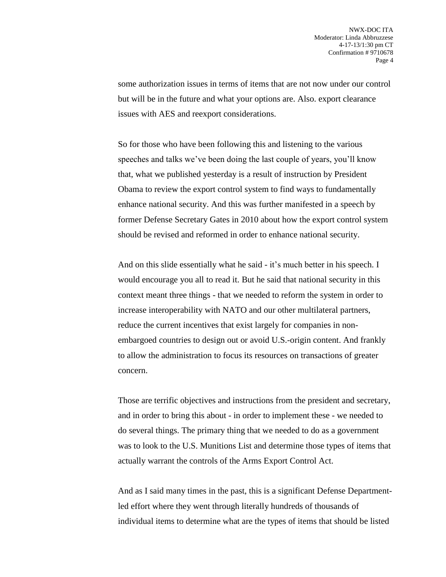some authorization issues in terms of items that are not now under our control but will be in the future and what your options are. Also. export clearance issues with AES and reexport considerations.

So for those who have been following this and listening to the various speeches and talks we've been doing the last couple of years, you'll know that, what we published yesterday is a result of instruction by President Obama to review the export control system to find ways to fundamentally enhance national security. And this was further manifested in a speech by former Defense Secretary Gates in 2010 about how the export control system should be revised and reformed in order to enhance national security.

And on this slide essentially what he said - it's much better in his speech. I would encourage you all to read it. But he said that national security in this context meant three things - that we needed to reform the system in order to increase interoperability with NATO and our other multilateral partners, reduce the current incentives that exist largely for companies in nonembargoed countries to design out or avoid U.S.-origin content. And frankly to allow the administration to focus its resources on transactions of greater concern.

Those are terrific objectives and instructions from the president and secretary, and in order to bring this about - in order to implement these - we needed to do several things. The primary thing that we needed to do as a government was to look to the U.S. Munitions List and determine those types of items that actually warrant the controls of the Arms Export Control Act.

And as I said many times in the past, this is a significant Defense Departmentled effort where they went through literally hundreds of thousands of individual items to determine what are the types of items that should be listed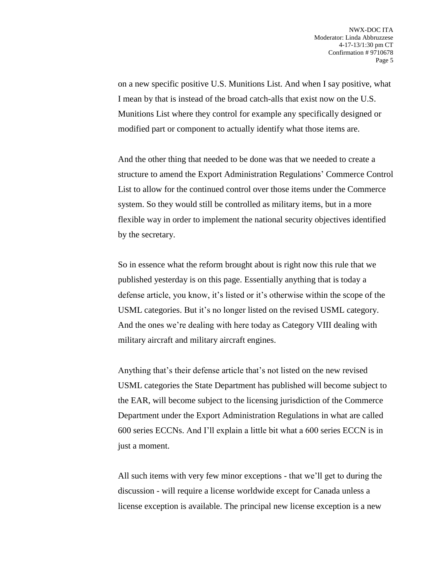on a new specific positive U.S. Munitions List. And when I say positive, what I mean by that is instead of the broad catch-alls that exist now on the U.S. Munitions List where they control for example any specifically designed or modified part or component to actually identify what those items are.

And the other thing that needed to be done was that we needed to create a structure to amend the Export Administration Regulations' Commerce Control List to allow for the continued control over those items under the Commerce system. So they would still be controlled as military items, but in a more flexible way in order to implement the national security objectives identified by the secretary.

So in essence what the reform brought about is right now this rule that we published yesterday is on this page. Essentially anything that is today a defense article, you know, it's listed or it's otherwise within the scope of the USML categories. But it's no longer listed on the revised USML category. And the ones we're dealing with here today as Category VIII dealing with military aircraft and military aircraft engines.

Anything that's their defense article that's not listed on the new revised USML categories the State Department has published will become subject to the EAR, will become subject to the licensing jurisdiction of the Commerce Department under the Export Administration Regulations in what are called 600 series ECCNs. And I'll explain a little bit what a 600 series ECCN is in just a moment.

All such items with very few minor exceptions - that we'll get to during the discussion - will require a license worldwide except for Canada unless a license exception is available. The principal new license exception is a new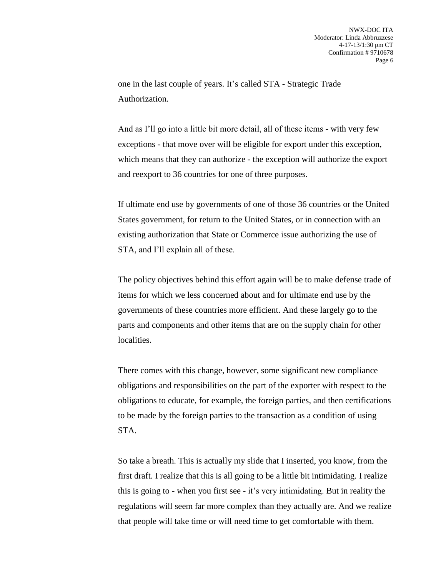one in the last couple of years. It's called STA - Strategic Trade Authorization.

And as I'll go into a little bit more detail, all of these items - with very few exceptions - that move over will be eligible for export under this exception, which means that they can authorize - the exception will authorize the export and reexport to 36 countries for one of three purposes.

If ultimate end use by governments of one of those 36 countries or the United States government, for return to the United States, or in connection with an existing authorization that State or Commerce issue authorizing the use of STA, and I'll explain all of these.

The policy objectives behind this effort again will be to make defense trade of items for which we less concerned about and for ultimate end use by the governments of these countries more efficient. And these largely go to the parts and components and other items that are on the supply chain for other localities.

There comes with this change, however, some significant new compliance obligations and responsibilities on the part of the exporter with respect to the obligations to educate, for example, the foreign parties, and then certifications to be made by the foreign parties to the transaction as a condition of using STA.

So take a breath. This is actually my slide that I inserted, you know, from the first draft. I realize that this is all going to be a little bit intimidating. I realize this is going to - when you first see - it's very intimidating. But in reality the regulations will seem far more complex than they actually are. And we realize that people will take time or will need time to get comfortable with them.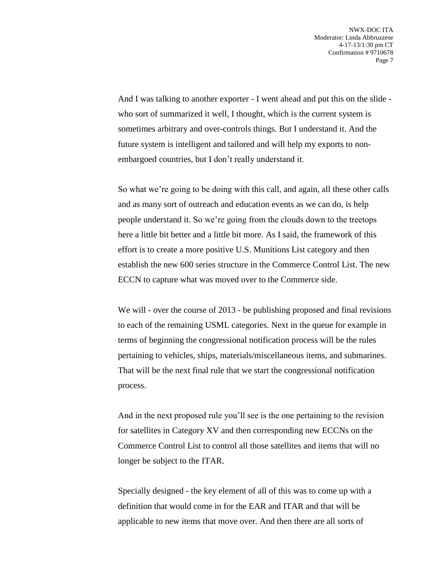And I was talking to another exporter - I went ahead and put this on the slide who sort of summarized it well, I thought, which is the current system is sometimes arbitrary and over-controls things. But I understand it. And the future system is intelligent and tailored and will help my exports to nonembargoed countries, but I don't really understand it.

So what we're going to be doing with this call, and again, all these other calls and as many sort of outreach and education events as we can do, is help people understand it. So we're going from the clouds down to the treetops here a little bit better and a little bit more. As I said, the framework of this effort is to create a more positive U.S. Munitions List category and then establish the new 600 series structure in the Commerce Control List. The new ECCN to capture what was moved over to the Commerce side.

We will - over the course of 2013 - be publishing proposed and final revisions to each of the remaining USML categories. Next in the queue for example in terms of beginning the congressional notification process will be the rules pertaining to vehicles, ships, materials/miscellaneous items, and submarines. That will be the next final rule that we start the congressional notification process.

And in the next proposed rule you'll see is the one pertaining to the revision for satellites in Category XV and then corresponding new ECCNs on the Commerce Control List to control all those satellites and items that will no longer be subject to the ITAR.

Specially designed - the key element of all of this was to come up with a definition that would come in for the EAR and ITAR and that will be applicable to new items that move over. And then there are all sorts of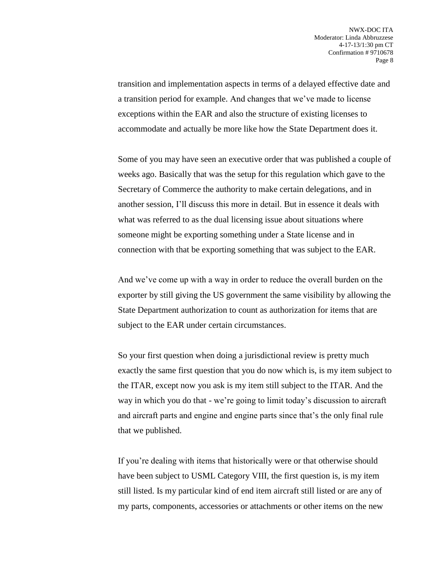transition and implementation aspects in terms of a delayed effective date and a transition period for example. And changes that we've made to license exceptions within the EAR and also the structure of existing licenses to accommodate and actually be more like how the State Department does it.

Some of you may have seen an executive order that was published a couple of weeks ago. Basically that was the setup for this regulation which gave to the Secretary of Commerce the authority to make certain delegations, and in another session, I'll discuss this more in detail. But in essence it deals with what was referred to as the dual licensing issue about situations where someone might be exporting something under a State license and in connection with that be exporting something that was subject to the EAR.

And we've come up with a way in order to reduce the overall burden on the exporter by still giving the US government the same visibility by allowing the State Department authorization to count as authorization for items that are subject to the EAR under certain circumstances.

So your first question when doing a jurisdictional review is pretty much exactly the same first question that you do now which is, is my item subject to the ITAR, except now you ask is my item still subject to the ITAR. And the way in which you do that - we're going to limit today's discussion to aircraft and aircraft parts and engine and engine parts since that's the only final rule that we published.

If you're dealing with items that historically were or that otherwise should have been subject to USML Category VIII, the first question is, is my item still listed. Is my particular kind of end item aircraft still listed or are any of my parts, components, accessories or attachments or other items on the new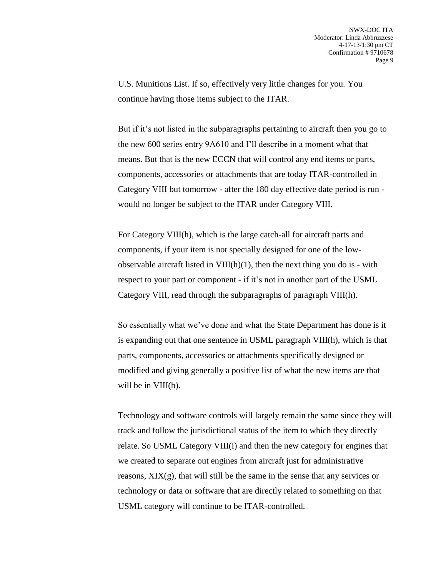U.S. Munitions List. If so, effectively very little changes for you. You continue having those items subject to the ITAR.

But if it's not listed in the subparagraphs pertaining to aircraft then you go to the new 600 series entry 9A610 and I'll describe in a moment what that means. But that is the new ECCN that will control any end items or parts, components, accessories or attachments that are today ITAR-controlled in Category VIII but tomorrow - after the 180 day effective date period is run would no longer be subject to the ITAR under Category VIII.

For Category VIII(h), which is the large catch-all for aircraft parts and components, if your item is not specially designed for one of the lowobservable aircraft listed in  $VIII(h)(1)$ , then the next thing you do is - with respect to your part or component - if it's not in another part of the USML Category VIII, read through the subparagraphs of paragraph VIII(h).

So essentially what we've done and what the State Department has done is it is expanding out that one sentence in USML paragraph VIII(h), which is that parts, components, accessories or attachments specifically designed or modified and giving generally a positive list of what the new items are that will be in  $VIII(h)$ .

Technology and software controls will largely remain the same since they will track and follow the jurisdictional status of the item to which they directly relate. So USML Category VIII(i) and then the new category for engines that we created to separate out engines from aircraft just for administrative reasons, XIX(g), that will still be the same in the sense that any services or technology or data or software that are directly related to something on that USML category will continue to be ITAR-controlled.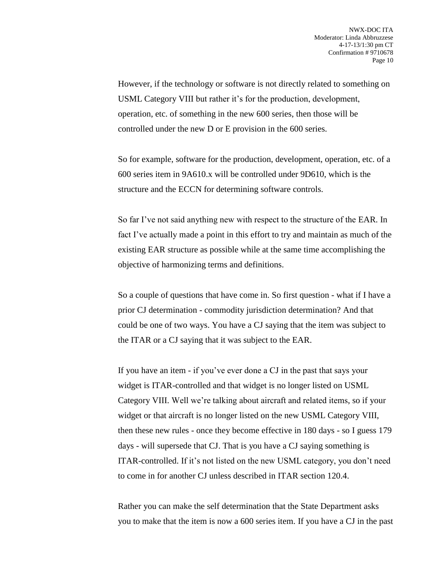However, if the technology or software is not directly related to something on USML Category VIII but rather it's for the production, development, operation, etc. of something in the new 600 series, then those will be controlled under the new D or E provision in the 600 series.

So for example, software for the production, development, operation, etc. of a 600 series item in 9A610.x will be controlled under 9D610, which is the structure and the ECCN for determining software controls.

So far I've not said anything new with respect to the structure of the EAR. In fact I've actually made a point in this effort to try and maintain as much of the existing EAR structure as possible while at the same time accomplishing the objective of harmonizing terms and definitions.

So a couple of questions that have come in. So first question - what if I have a prior CJ determination - commodity jurisdiction determination? And that could be one of two ways. You have a CJ saying that the item was subject to the ITAR or a CJ saying that it was subject to the EAR.

If you have an item - if you've ever done a CJ in the past that says your widget is ITAR-controlled and that widget is no longer listed on USML Category VIII. Well we're talking about aircraft and related items, so if your widget or that aircraft is no longer listed on the new USML Category VIII, then these new rules - once they become effective in 180 days - so I guess 179 days - will supersede that CJ. That is you have a CJ saying something is ITAR-controlled. If it's not listed on the new USML category, you don't need to come in for another CJ unless described in ITAR section 120.4.

Rather you can make the self determination that the State Department asks you to make that the item is now a 600 series item. If you have a CJ in the past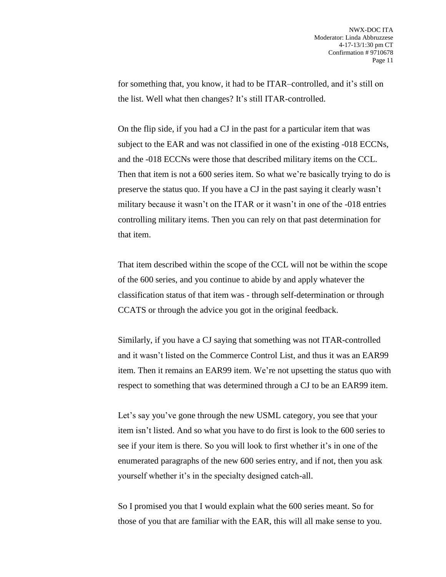for something that, you know, it had to be ITAR–controlled, and it's still on the list. Well what then changes? It's still ITAR-controlled.

On the flip side, if you had a CJ in the past for a particular item that was subject to the EAR and was not classified in one of the existing -018 ECCNs, and the -018 ECCNs were those that described military items on the CCL. Then that item is not a 600 series item. So what we're basically trying to do is preserve the status quo. If you have a CJ in the past saying it clearly wasn't military because it wasn't on the ITAR or it wasn't in one of the -018 entries controlling military items. Then you can rely on that past determination for that item.

That item described within the scope of the CCL will not be within the scope of the 600 series, and you continue to abide by and apply whatever the classification status of that item was - through self-determination or through CCATS or through the advice you got in the original feedback.

Similarly, if you have a CJ saying that something was not ITAR-controlled and it wasn't listed on the Commerce Control List, and thus it was an EAR99 item. Then it remains an EAR99 item. We're not upsetting the status quo with respect to something that was determined through a CJ to be an EAR99 item.

Let's say you've gone through the new USML category, you see that your item isn't listed. And so what you have to do first is look to the 600 series to see if your item is there. So you will look to first whether it's in one of the enumerated paragraphs of the new 600 series entry, and if not, then you ask yourself whether it's in the specialty designed catch-all.

So I promised you that I would explain what the 600 series meant. So for those of you that are familiar with the EAR, this will all make sense to you.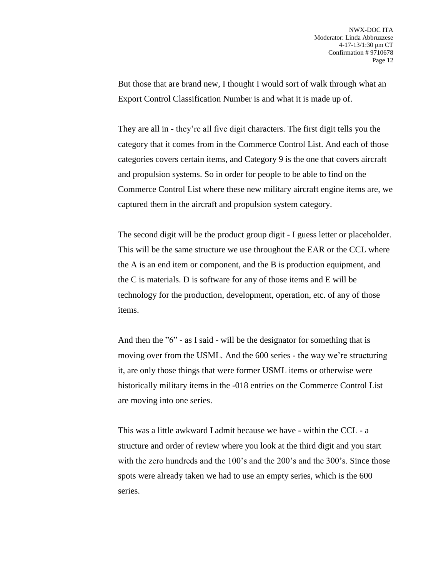But those that are brand new, I thought I would sort of walk through what an Export Control Classification Number is and what it is made up of.

They are all in - they're all five digit characters. The first digit tells you the category that it comes from in the Commerce Control List. And each of those categories covers certain items, and Category 9 is the one that covers aircraft and propulsion systems. So in order for people to be able to find on the Commerce Control List where these new military aircraft engine items are, we captured them in the aircraft and propulsion system category.

The second digit will be the product group digit - I guess letter or placeholder. This will be the same structure we use throughout the EAR or the CCL where the A is an end item or component, and the B is production equipment, and the C is materials. D is software for any of those items and E will be technology for the production, development, operation, etc. of any of those items.

And then the "6" - as I said - will be the designator for something that is moving over from the USML. And the 600 series - the way we're structuring it, are only those things that were former USML items or otherwise were historically military items in the -018 entries on the Commerce Control List are moving into one series.

This was a little awkward I admit because we have - within the CCL - a structure and order of review where you look at the third digit and you start with the zero hundreds and the 100's and the 200's and the 300's. Since those spots were already taken we had to use an empty series, which is the 600 series.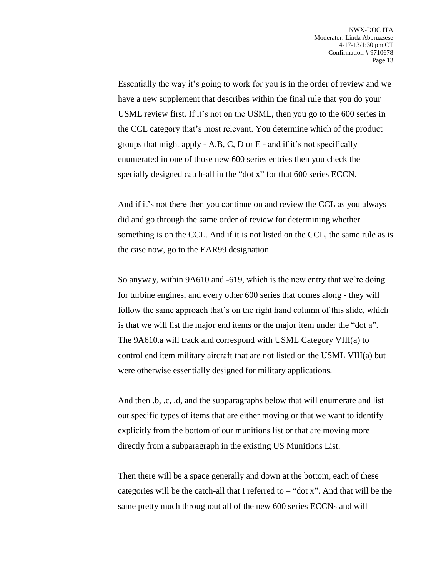Essentially the way it's going to work for you is in the order of review and we have a new supplement that describes within the final rule that you do your USML review first. If it's not on the USML, then you go to the 600 series in the CCL category that's most relevant. You determine which of the product groups that might apply  $-A,B,C,D$  or  $E$  - and if it's not specifically enumerated in one of those new 600 series entries then you check the specially designed catch-all in the "dot x" for that 600 series ECCN.

And if it's not there then you continue on and review the CCL as you always did and go through the same order of review for determining whether something is on the CCL. And if it is not listed on the CCL, the same rule as is the case now, go to the EAR99 designation.

So anyway, within 9A610 and -619, which is the new entry that we're doing for turbine engines, and every other 600 series that comes along - they will follow the same approach that's on the right hand column of this slide, which is that we will list the major end items or the major item under the "dot a". The 9A610.a will track and correspond with USML Category VIII(a) to control end item military aircraft that are not listed on the USML VIII(a) but were otherwise essentially designed for military applications.

And then .b, .c, .d, and the subparagraphs below that will enumerate and list out specific types of items that are either moving or that we want to identify explicitly from the bottom of our munitions list or that are moving more directly from a subparagraph in the existing US Munitions List.

Then there will be a space generally and down at the bottom, each of these categories will be the catch-all that I referred to  $-$  "dot x". And that will be the same pretty much throughout all of the new 600 series ECCNs and will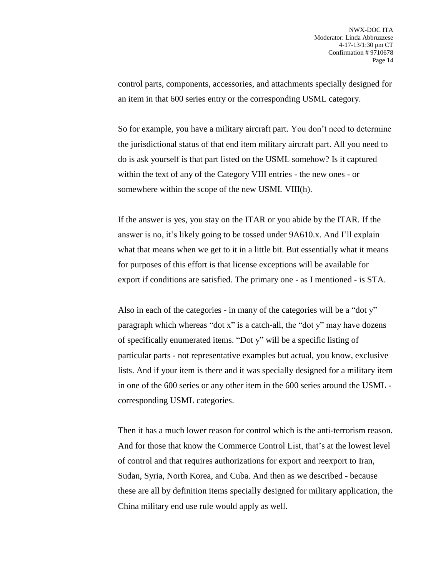control parts, components, accessories, and attachments specially designed for an item in that 600 series entry or the corresponding USML category.

So for example, you have a military aircraft part. You don't need to determine the jurisdictional status of that end item military aircraft part. All you need to do is ask yourself is that part listed on the USML somehow? Is it captured within the text of any of the Category VIII entries - the new ones - or somewhere within the scope of the new USML VIII(h).

If the answer is yes, you stay on the ITAR or you abide by the ITAR. If the answer is no, it's likely going to be tossed under 9A610.x. And I'll explain what that means when we get to it in a little bit. But essentially what it means for purposes of this effort is that license exceptions will be available for export if conditions are satisfied. The primary one - as I mentioned - is STA.

Also in each of the categories - in many of the categories will be a "dot y" paragraph which whereas "dot x" is a catch-all, the "dot y" may have dozens of specifically enumerated items. "Dot y" will be a specific listing of particular parts - not representative examples but actual, you know, exclusive lists. And if your item is there and it was specially designed for a military item in one of the 600 series or any other item in the 600 series around the USML corresponding USML categories.

Then it has a much lower reason for control which is the anti-terrorism reason. And for those that know the Commerce Control List, that's at the lowest level of control and that requires authorizations for export and reexport to Iran, Sudan, Syria, North Korea, and Cuba. And then as we described - because these are all by definition items specially designed for military application, the China military end use rule would apply as well.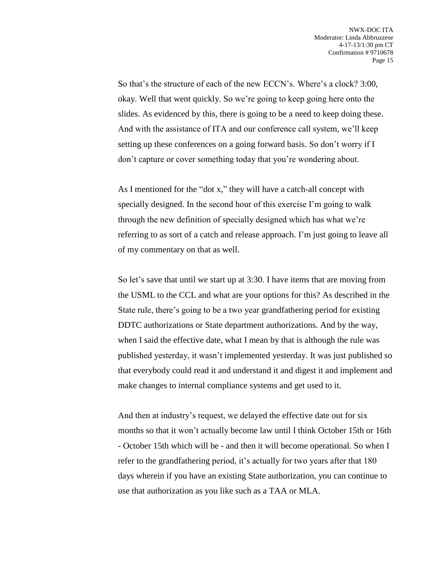So that's the structure of each of the new ECCN's. Where's a clock? 3:00, okay. Well that went quickly. So we're going to keep going here onto the slides. As evidenced by this, there is going to be a need to keep doing these. And with the assistance of ITA and our conference call system, we'll keep setting up these conferences on a going forward basis. So don't worry if I don't capture or cover something today that you're wondering about.

As I mentioned for the "dot x," they will have a catch-all concept with specially designed. In the second hour of this exercise I'm going to walk through the new definition of specially designed which has what we're referring to as sort of a catch and release approach. I'm just going to leave all of my commentary on that as well.

So let's save that until we start up at 3:30. I have items that are moving from the USML to the CCL and what are your options for this? As described in the State rule, there's going to be a two year grandfathering period for existing DDTC authorizations or State department authorizations. And by the way, when I said the effective date, what I mean by that is although the rule was published yesterday, it wasn't implemented yesterday. It was just published so that everybody could read it and understand it and digest it and implement and make changes to internal compliance systems and get used to it.

And then at industry's request, we delayed the effective date out for six months so that it won't actually become law until I think October 15th or 16th - October 15th which will be - and then it will become operational. So when I refer to the grandfathering period, it's actually for two years after that 180 days wherein if you have an existing State authorization, you can continue to use that authorization as you like such as a TAA or MLA.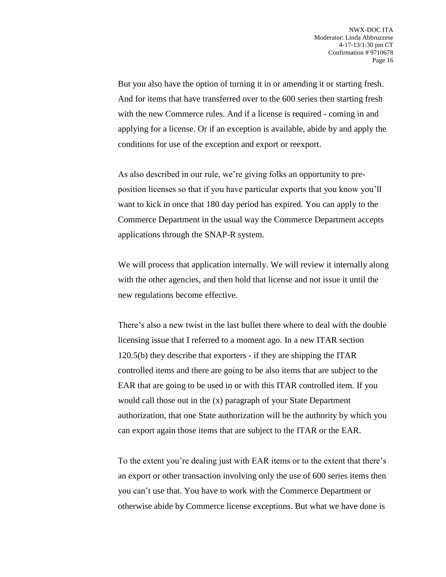But you also have the option of turning it in or amending it or starting fresh. And for items that have transferred over to the 600 series then starting fresh with the new Commerce rules. And if a license is required - coming in and applying for a license. Or if an exception is available, abide by and apply the conditions for use of the exception and export or reexport.

As also described in our rule, we're giving folks an opportunity to preposition licenses so that if you have particular exports that you know you'll want to kick in once that 180 day period has expired. You can apply to the Commerce Department in the usual way the Commerce Department accepts applications through the SNAP-R system.

We will process that application internally. We will review it internally along with the other agencies, and then hold that license and not issue it until the new regulations become effective.

There's also a new twist in the last bullet there where to deal with the double licensing issue that I referred to a moment ago. In a new ITAR section 120.5(b) they describe that exporters - if they are shipping the ITAR controlled items and there are going to be also items that are subject to the EAR that are going to be used in or with this ITAR controlled item. If you would call those out in the (x) paragraph of your State Department authorization, that one State authorization will be the authority by which you can export again those items that are subject to the ITAR or the EAR.

To the extent you're dealing just with EAR items or to the extent that there's an export or other transaction involving only the use of 600 series items then you can't use that. You have to work with the Commerce Department or otherwise abide by Commerce license exceptions. But what we have done is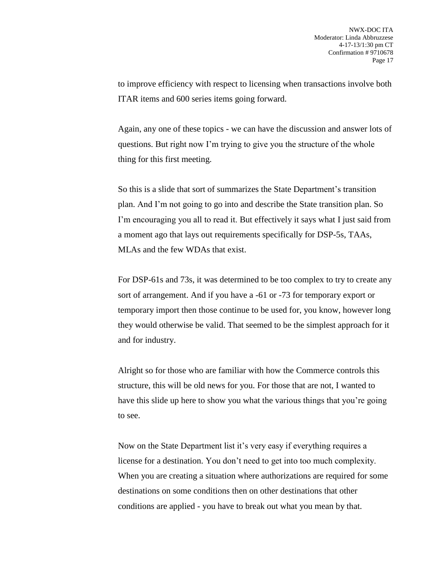to improve efficiency with respect to licensing when transactions involve both ITAR items and 600 series items going forward.

Again, any one of these topics - we can have the discussion and answer lots of questions. But right now I'm trying to give you the structure of the whole thing for this first meeting.

So this is a slide that sort of summarizes the State Department's transition plan. And I'm not going to go into and describe the State transition plan. So I'm encouraging you all to read it. But effectively it says what I just said from a moment ago that lays out requirements specifically for DSP-5s, TAAs, MLAs and the few WDAs that exist.

For DSP-61s and 73s, it was determined to be too complex to try to create any sort of arrangement. And if you have a -61 or -73 for temporary export or temporary import then those continue to be used for, you know, however long they would otherwise be valid. That seemed to be the simplest approach for it and for industry.

Alright so for those who are familiar with how the Commerce controls this structure, this will be old news for you. For those that are not, I wanted to have this slide up here to show you what the various things that you're going to see.

Now on the State Department list it's very easy if everything requires a license for a destination. You don't need to get into too much complexity. When you are creating a situation where authorizations are required for some destinations on some conditions then on other destinations that other conditions are applied - you have to break out what you mean by that.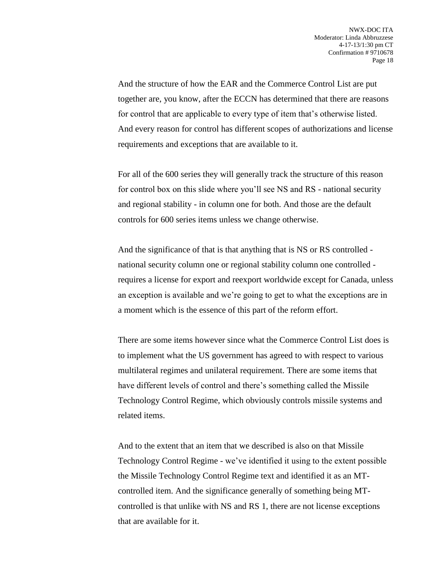And the structure of how the EAR and the Commerce Control List are put together are, you know, after the ECCN has determined that there are reasons for control that are applicable to every type of item that's otherwise listed. And every reason for control has different scopes of authorizations and license requirements and exceptions that are available to it.

For all of the 600 series they will generally track the structure of this reason for control box on this slide where you'll see NS and RS - national security and regional stability - in column one for both. And those are the default controls for 600 series items unless we change otherwise.

And the significance of that is that anything that is NS or RS controlled national security column one or regional stability column one controlled requires a license for export and reexport worldwide except for Canada, unless an exception is available and we're going to get to what the exceptions are in a moment which is the essence of this part of the reform effort.

There are some items however since what the Commerce Control List does is to implement what the US government has agreed to with respect to various multilateral regimes and unilateral requirement. There are some items that have different levels of control and there's something called the Missile Technology Control Regime, which obviously controls missile systems and related items.

And to the extent that an item that we described is also on that Missile Technology Control Regime - we've identified it using to the extent possible the Missile Technology Control Regime text and identified it as an MTcontrolled item. And the significance generally of something being MTcontrolled is that unlike with NS and RS 1, there are not license exceptions that are available for it.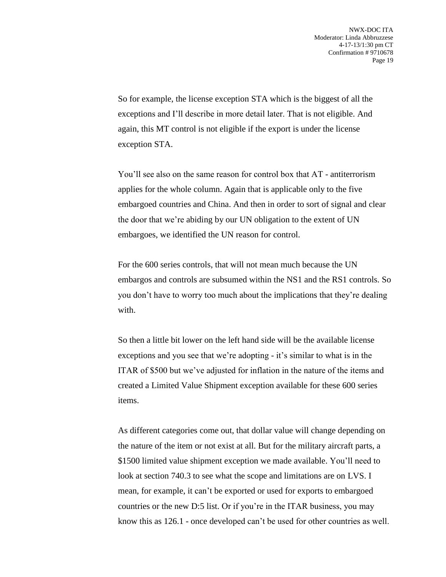So for example, the license exception STA which is the biggest of all the exceptions and I'll describe in more detail later. That is not eligible. And again, this MT control is not eligible if the export is under the license exception STA.

You'll see also on the same reason for control box that AT - antiterrorism applies for the whole column. Again that is applicable only to the five embargoed countries and China. And then in order to sort of signal and clear the door that we're abiding by our UN obligation to the extent of UN embargoes, we identified the UN reason for control.

For the 600 series controls, that will not mean much because the UN embargos and controls are subsumed within the NS1 and the RS1 controls. So you don't have to worry too much about the implications that they're dealing with.

So then a little bit lower on the left hand side will be the available license exceptions and you see that we're adopting - it's similar to what is in the ITAR of \$500 but we've adjusted for inflation in the nature of the items and created a Limited Value Shipment exception available for these 600 series items.

As different categories come out, that dollar value will change depending on the nature of the item or not exist at all. But for the military aircraft parts, a \$1500 limited value shipment exception we made available. You'll need to look at section 740.3 to see what the scope and limitations are on LVS. I mean, for example, it can't be exported or used for exports to embargoed countries or the new D:5 list. Or if you're in the ITAR business, you may know this as 126.1 - once developed can't be used for other countries as well.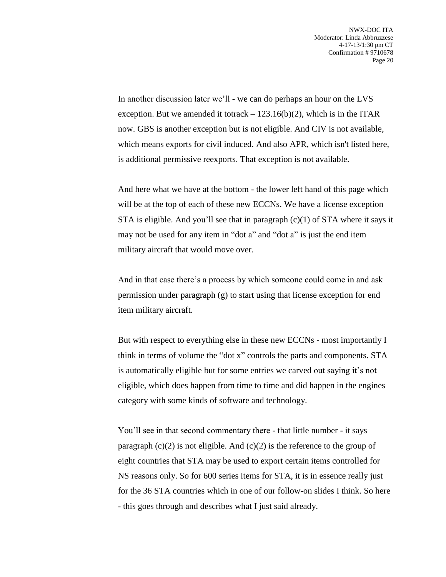In another discussion later we'll - we can do perhaps an hour on the LVS exception. But we amended it totrack  $-123.16(b)(2)$ , which is in the ITAR now. GBS is another exception but is not eligible. And CIV is not available, which means exports for civil induced. And also APR, which isn't listed here, is additional permissive reexports. That exception is not available.

And here what we have at the bottom - the lower left hand of this page which will be at the top of each of these new ECCNs. We have a license exception STA is eligible. And you'll see that in paragraph  $(c)(1)$  of STA where it says it may not be used for any item in "dot a" and "dot a" is just the end item military aircraft that would move over.

And in that case there's a process by which someone could come in and ask permission under paragraph (g) to start using that license exception for end item military aircraft.

But with respect to everything else in these new ECCNs - most importantly I think in terms of volume the "dot x" controls the parts and components. STA is automatically eligible but for some entries we carved out saying it's not eligible, which does happen from time to time and did happen in the engines category with some kinds of software and technology.

You'll see in that second commentary there - that little number - it says paragraph  $(c)(2)$  is not eligible. And  $(c)(2)$  is the reference to the group of eight countries that STA may be used to export certain items controlled for NS reasons only. So for 600 series items for STA, it is in essence really just for the 36 STA countries which in one of our follow-on slides I think. So here - this goes through and describes what I just said already.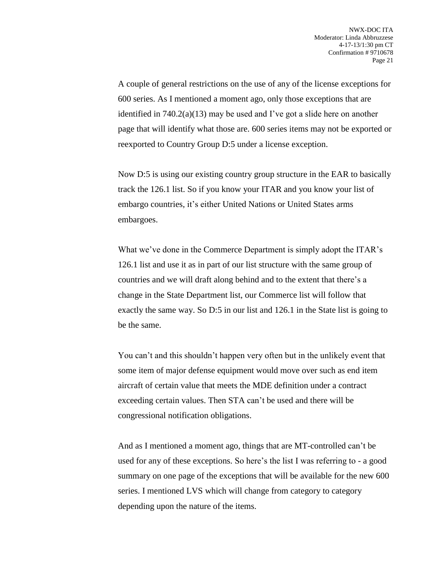A couple of general restrictions on the use of any of the license exceptions for 600 series. As I mentioned a moment ago, only those exceptions that are identified in  $740.2(a)(13)$  may be used and I've got a slide here on another page that will identify what those are. 600 series items may not be exported or reexported to Country Group D:5 under a license exception.

Now D:5 is using our existing country group structure in the EAR to basically track the 126.1 list. So if you know your ITAR and you know your list of embargo countries, it's either United Nations or United States arms embargoes.

What we've done in the Commerce Department is simply adopt the ITAR's 126.1 list and use it as in part of our list structure with the same group of countries and we will draft along behind and to the extent that there's a change in the State Department list, our Commerce list will follow that exactly the same way. So D:5 in our list and 126.1 in the State list is going to be the same.

You can't and this shouldn't happen very often but in the unlikely event that some item of major defense equipment would move over such as end item aircraft of certain value that meets the MDE definition under a contract exceeding certain values. Then STA can't be used and there will be congressional notification obligations.

And as I mentioned a moment ago, things that are MT-controlled can't be used for any of these exceptions. So here's the list I was referring to - a good summary on one page of the exceptions that will be available for the new 600 series. I mentioned LVS which will change from category to category depending upon the nature of the items.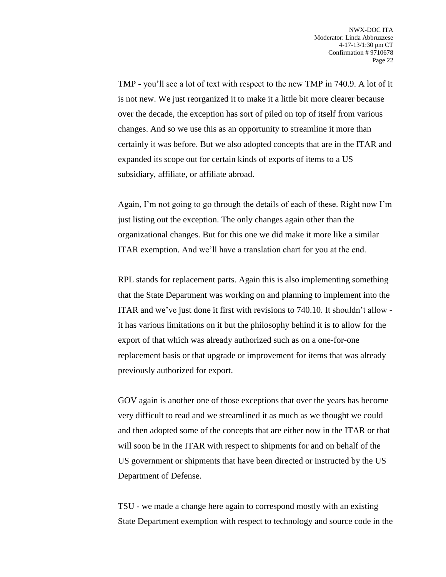TMP - you'll see a lot of text with respect to the new TMP in 740.9. A lot of it is not new. We just reorganized it to make it a little bit more clearer because over the decade, the exception has sort of piled on top of itself from various changes. And so we use this as an opportunity to streamline it more than certainly it was before. But we also adopted concepts that are in the ITAR and expanded its scope out for certain kinds of exports of items to a US subsidiary, affiliate, or affiliate abroad.

Again, I'm not going to go through the details of each of these. Right now I'm just listing out the exception. The only changes again other than the organizational changes. But for this one we did make it more like a similar ITAR exemption. And we'll have a translation chart for you at the end.

RPL stands for replacement parts. Again this is also implementing something that the State Department was working on and planning to implement into the ITAR and we've just done it first with revisions to 740.10. It shouldn't allow it has various limitations on it but the philosophy behind it is to allow for the export of that which was already authorized such as on a one-for-one replacement basis or that upgrade or improvement for items that was already previously authorized for export.

GOV again is another one of those exceptions that over the years has become very difficult to read and we streamlined it as much as we thought we could and then adopted some of the concepts that are either now in the ITAR or that will soon be in the ITAR with respect to shipments for and on behalf of the US government or shipments that have been directed or instructed by the US Department of Defense.

TSU - we made a change here again to correspond mostly with an existing State Department exemption with respect to technology and source code in the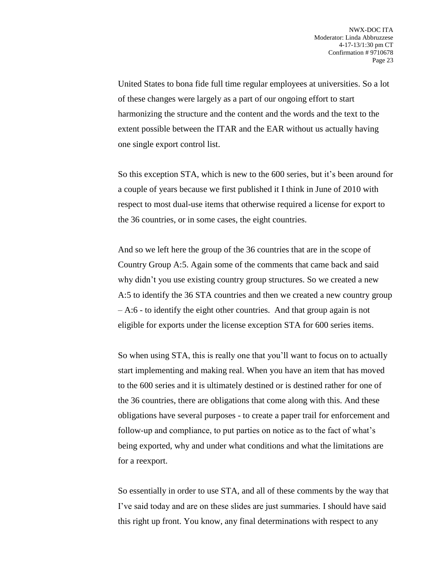United States to bona fide full time regular employees at universities. So a lot of these changes were largely as a part of our ongoing effort to start harmonizing the structure and the content and the words and the text to the extent possible between the ITAR and the EAR without us actually having one single export control list.

So this exception STA, which is new to the 600 series, but it's been around for a couple of years because we first published it I think in June of 2010 with respect to most dual-use items that otherwise required a license for export to the 36 countries, or in some cases, the eight countries.

And so we left here the group of the 36 countries that are in the scope of Country Group A:5. Again some of the comments that came back and said why didn't you use existing country group structures. So we created a new A:5 to identify the 36 STA countries and then we created a new country group – A:6 - to identify the eight other countries. And that group again is not eligible for exports under the license exception STA for 600 series items.

So when using STA, this is really one that you'll want to focus on to actually start implementing and making real. When you have an item that has moved to the 600 series and it is ultimately destined or is destined rather for one of the 36 countries, there are obligations that come along with this. And these obligations have several purposes - to create a paper trail for enforcement and follow-up and compliance, to put parties on notice as to the fact of what's being exported, why and under what conditions and what the limitations are for a reexport.

So essentially in order to use STA, and all of these comments by the way that I've said today and are on these slides are just summaries. I should have said this right up front. You know, any final determinations with respect to any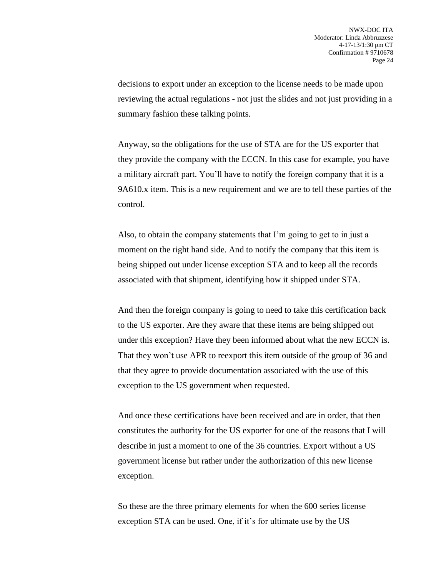decisions to export under an exception to the license needs to be made upon reviewing the actual regulations - not just the slides and not just providing in a summary fashion these talking points.

Anyway, so the obligations for the use of STA are for the US exporter that they provide the company with the ECCN. In this case for example, you have a military aircraft part. You'll have to notify the foreign company that it is a 9A610.x item. This is a new requirement and we are to tell these parties of the control.

Also, to obtain the company statements that I'm going to get to in just a moment on the right hand side. And to notify the company that this item is being shipped out under license exception STA and to keep all the records associated with that shipment, identifying how it shipped under STA.

And then the foreign company is going to need to take this certification back to the US exporter. Are they aware that these items are being shipped out under this exception? Have they been informed about what the new ECCN is. That they won't use APR to reexport this item outside of the group of 36 and that they agree to provide documentation associated with the use of this exception to the US government when requested.

And once these certifications have been received and are in order, that then constitutes the authority for the US exporter for one of the reasons that I will describe in just a moment to one of the 36 countries. Export without a US government license but rather under the authorization of this new license exception.

So these are the three primary elements for when the 600 series license exception STA can be used. One, if it's for ultimate use by the US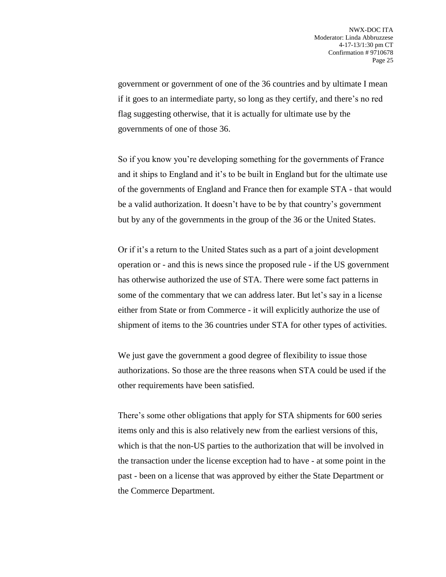government or government of one of the 36 countries and by ultimate I mean if it goes to an intermediate party, so long as they certify, and there's no red flag suggesting otherwise, that it is actually for ultimate use by the governments of one of those 36.

So if you know you're developing something for the governments of France and it ships to England and it's to be built in England but for the ultimate use of the governments of England and France then for example STA - that would be a valid authorization. It doesn't have to be by that country's government but by any of the governments in the group of the 36 or the United States.

Or if it's a return to the United States such as a part of a joint development operation or - and this is news since the proposed rule - if the US government has otherwise authorized the use of STA. There were some fact patterns in some of the commentary that we can address later. But let's say in a license either from State or from Commerce - it will explicitly authorize the use of shipment of items to the 36 countries under STA for other types of activities.

We just gave the government a good degree of flexibility to issue those authorizations. So those are the three reasons when STA could be used if the other requirements have been satisfied.

There's some other obligations that apply for STA shipments for 600 series items only and this is also relatively new from the earliest versions of this, which is that the non-US parties to the authorization that will be involved in the transaction under the license exception had to have - at some point in the past - been on a license that was approved by either the State Department or the Commerce Department.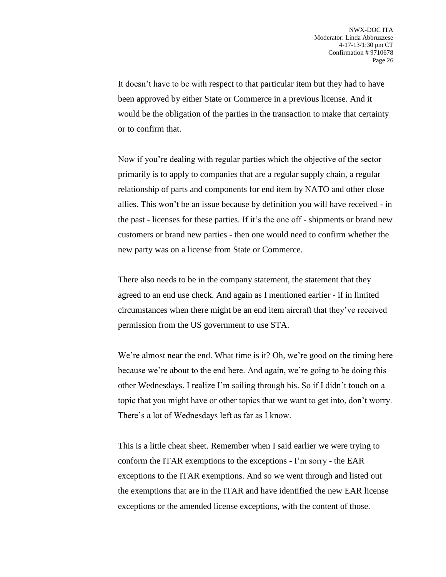It doesn't have to be with respect to that particular item but they had to have been approved by either State or Commerce in a previous license. And it would be the obligation of the parties in the transaction to make that certainty or to confirm that.

Now if you're dealing with regular parties which the objective of the sector primarily is to apply to companies that are a regular supply chain, a regular relationship of parts and components for end item by NATO and other close allies. This won't be an issue because by definition you will have received - in the past - licenses for these parties. If it's the one off - shipments or brand new customers or brand new parties - then one would need to confirm whether the new party was on a license from State or Commerce.

There also needs to be in the company statement, the statement that they agreed to an end use check. And again as I mentioned earlier - if in limited circumstances when there might be an end item aircraft that they've received permission from the US government to use STA.

We're almost near the end. What time is it? Oh, we're good on the timing here because we're about to the end here. And again, we're going to be doing this other Wednesdays. I realize I'm sailing through his. So if I didn't touch on a topic that you might have or other topics that we want to get into, don't worry. There's a lot of Wednesdays left as far as I know.

This is a little cheat sheet. Remember when I said earlier we were trying to conform the ITAR exemptions to the exceptions - I'm sorry - the EAR exceptions to the ITAR exemptions. And so we went through and listed out the exemptions that are in the ITAR and have identified the new EAR license exceptions or the amended license exceptions, with the content of those.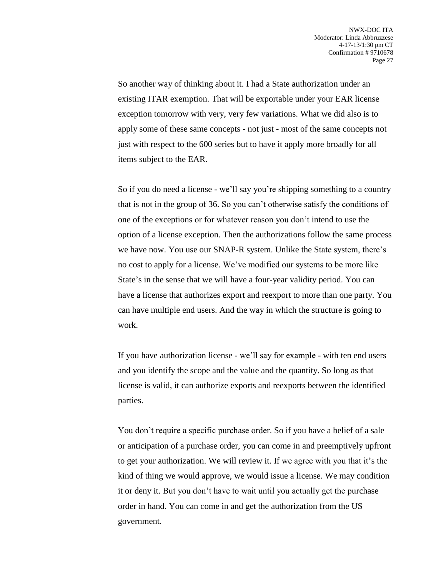So another way of thinking about it. I had a State authorization under an existing ITAR exemption. That will be exportable under your EAR license exception tomorrow with very, very few variations. What we did also is to apply some of these same concepts - not just - most of the same concepts not just with respect to the 600 series but to have it apply more broadly for all items subject to the EAR.

So if you do need a license - we'll say you're shipping something to a country that is not in the group of 36. So you can't otherwise satisfy the conditions of one of the exceptions or for whatever reason you don't intend to use the option of a license exception. Then the authorizations follow the same process we have now. You use our SNAP-R system. Unlike the State system, there's no cost to apply for a license. We've modified our systems to be more like State's in the sense that we will have a four-year validity period. You can have a license that authorizes export and reexport to more than one party. You can have multiple end users. And the way in which the structure is going to work.

If you have authorization license - we'll say for example - with ten end users and you identify the scope and the value and the quantity. So long as that license is valid, it can authorize exports and reexports between the identified parties.

You don't require a specific purchase order. So if you have a belief of a sale or anticipation of a purchase order, you can come in and preemptively upfront to get your authorization. We will review it. If we agree with you that it's the kind of thing we would approve, we would issue a license. We may condition it or deny it. But you don't have to wait until you actually get the purchase order in hand. You can come in and get the authorization from the US government.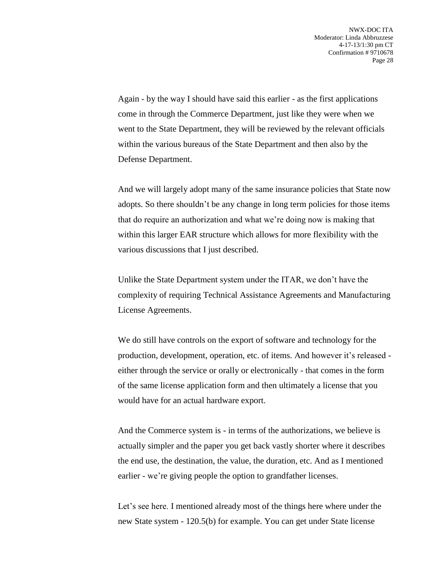Again - by the way I should have said this earlier - as the first applications come in through the Commerce Department, just like they were when we went to the State Department, they will be reviewed by the relevant officials within the various bureaus of the State Department and then also by the Defense Department.

And we will largely adopt many of the same insurance policies that State now adopts. So there shouldn't be any change in long term policies for those items that do require an authorization and what we're doing now is making that within this larger EAR structure which allows for more flexibility with the various discussions that I just described.

Unlike the State Department system under the ITAR, we don't have the complexity of requiring Technical Assistance Agreements and Manufacturing License Agreements.

We do still have controls on the export of software and technology for the production, development, operation, etc. of items. And however it's released either through the service or orally or electronically - that comes in the form of the same license application form and then ultimately a license that you would have for an actual hardware export.

And the Commerce system is - in terms of the authorizations, we believe is actually simpler and the paper you get back vastly shorter where it describes the end use, the destination, the value, the duration, etc. And as I mentioned earlier - we're giving people the option to grandfather licenses.

Let's see here. I mentioned already most of the things here where under the new State system - 120.5(b) for example. You can get under State license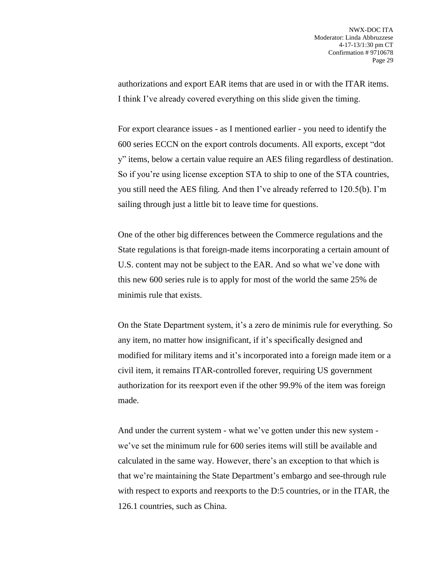authorizations and export EAR items that are used in or with the ITAR items. I think I've already covered everything on this slide given the timing.

For export clearance issues - as I mentioned earlier - you need to identify the 600 series ECCN on the export controls documents. All exports, except "dot y" items, below a certain value require an AES filing regardless of destination. So if you're using license exception STA to ship to one of the STA countries, you still need the AES filing. And then I've already referred to 120.5(b). I'm sailing through just a little bit to leave time for questions.

One of the other big differences between the Commerce regulations and the State regulations is that foreign-made items incorporating a certain amount of U.S. content may not be subject to the EAR. And so what we've done with this new 600 series rule is to apply for most of the world the same 25% de minimis rule that exists.

On the State Department system, it's a zero de minimis rule for everything. So any item, no matter how insignificant, if it's specifically designed and modified for military items and it's incorporated into a foreign made item or a civil item, it remains ITAR-controlled forever, requiring US government authorization for its reexport even if the other 99.9% of the item was foreign made.

And under the current system - what we've gotten under this new system we've set the minimum rule for 600 series items will still be available and calculated in the same way. However, there's an exception to that which is that we're maintaining the State Department's embargo and see-through rule with respect to exports and reexports to the D:5 countries, or in the ITAR, the 126.1 countries, such as China.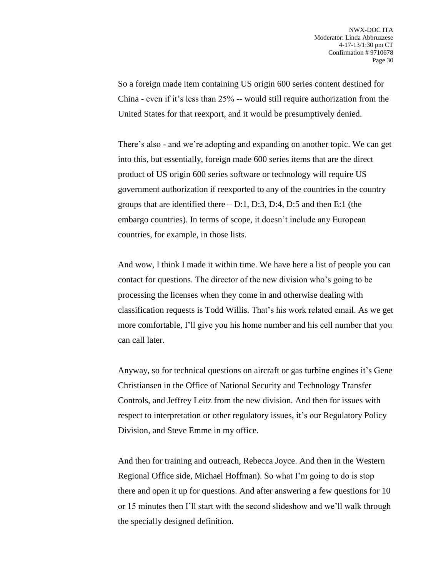So a foreign made item containing US origin 600 series content destined for China - even if it's less than 25% -- would still require authorization from the United States for that reexport, and it would be presumptively denied.

There's also - and we're adopting and expanding on another topic. We can get into this, but essentially, foreign made 600 series items that are the direct product of US origin 600 series software or technology will require US government authorization if reexported to any of the countries in the country groups that are identified there  $- D:1$ , D:3, D:4, D:5 and then E:1 (the embargo countries). In terms of scope, it doesn't include any European countries, for example, in those lists.

And wow, I think I made it within time. We have here a list of people you can contact for questions. The director of the new division who's going to be processing the licenses when they come in and otherwise dealing with classification requests is Todd Willis. That's his work related email. As we get more comfortable, I'll give you his home number and his cell number that you can call later.

Anyway, so for technical questions on aircraft or gas turbine engines it's Gene Christiansen in the Office of National Security and Technology Transfer Controls, and Jeffrey Leitz from the new division. And then for issues with respect to interpretation or other regulatory issues, it's our Regulatory Policy Division, and Steve Emme in my office.

And then for training and outreach, Rebecca Joyce. And then in the Western Regional Office side, Michael Hoffman). So what I'm going to do is stop there and open it up for questions. And after answering a few questions for 10 or 15 minutes then I'll start with the second slideshow and we'll walk through the specially designed definition.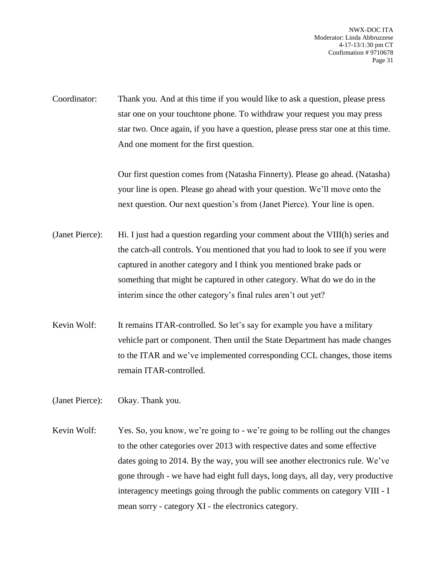NWX-DOC ITA Moderator: Linda Abbruzzese 4-17-13/1:30 pm CT Confirmation # 9710678 Page 31

Coordinator: Thank you. And at this time if you would like to ask a question, please press star one on your touchtone phone. To withdraw your request you may press star two. Once again, if you have a question, please press star one at this time. And one moment for the first question.

> Our first question comes from (Natasha Finnerty). Please go ahead. (Natasha) your line is open. Please go ahead with your question. We'll move onto the next question. Our next question's from (Janet Pierce). Your line is open.

- (Janet Pierce): Hi. I just had a question regarding your comment about the VIII(h) series and the catch-all controls. You mentioned that you had to look to see if you were captured in another category and I think you mentioned brake pads or something that might be captured in other category. What do we do in the interim since the other category's final rules aren't out yet?
- Kevin Wolf: It remains ITAR-controlled. So let's say for example you have a military vehicle part or component. Then until the State Department has made changes to the ITAR and we've implemented corresponding CCL changes, those items remain ITAR-controlled.
- (Janet Pierce): Okay. Thank you.
- Kevin Wolf: Yes. So, you know, we're going to we're going to be rolling out the changes to the other categories over 2013 with respective dates and some effective dates going to 2014. By the way, you will see another electronics rule. We've gone through - we have had eight full days, long days, all day, very productive interagency meetings going through the public comments on category VIII - I mean sorry - category XI - the electronics category.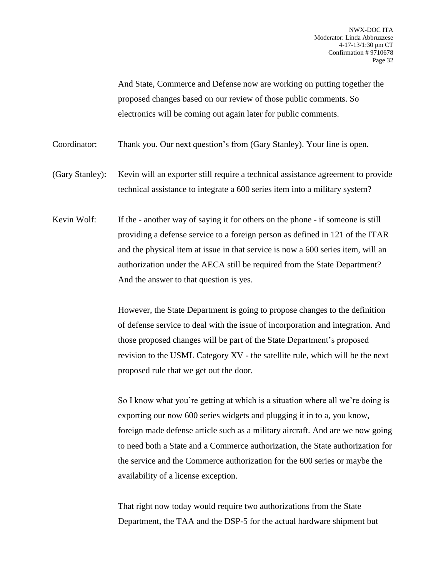And State, Commerce and Defense now are working on putting together the proposed changes based on our review of those public comments. So electronics will be coming out again later for public comments.

Coordinator: Thank you. Our next question's from (Gary Stanley). Your line is open.

(Gary Stanley): Kevin will an exporter still require a technical assistance agreement to provide technical assistance to integrate a 600 series item into a military system?

Kevin Wolf: If the - another way of saying it for others on the phone - if someone is still providing a defense service to a foreign person as defined in 121 of the ITAR and the physical item at issue in that service is now a 600 series item, will an authorization under the AECA still be required from the State Department? And the answer to that question is yes.

> However, the State Department is going to propose changes to the definition of defense service to deal with the issue of incorporation and integration. And those proposed changes will be part of the State Department's proposed revision to the USML Category XV - the satellite rule, which will be the next proposed rule that we get out the door.

> So I know what you're getting at which is a situation where all we're doing is exporting our now 600 series widgets and plugging it in to a, you know, foreign made defense article such as a military aircraft. And are we now going to need both a State and a Commerce authorization, the State authorization for the service and the Commerce authorization for the 600 series or maybe the availability of a license exception.

That right now today would require two authorizations from the State Department, the TAA and the DSP-5 for the actual hardware shipment but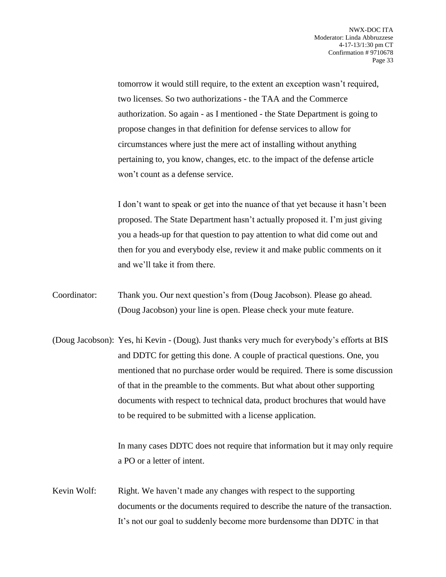tomorrow it would still require, to the extent an exception wasn't required, two licenses. So two authorizations - the TAA and the Commerce authorization. So again - as I mentioned - the State Department is going to propose changes in that definition for defense services to allow for circumstances where just the mere act of installing without anything pertaining to, you know, changes, etc. to the impact of the defense article won't count as a defense service.

I don't want to speak or get into the nuance of that yet because it hasn't been proposed. The State Department hasn't actually proposed it. I'm just giving you a heads-up for that question to pay attention to what did come out and then for you and everybody else, review it and make public comments on it and we'll take it from there.

- Coordinator: Thank you. Our next question's from (Doug Jacobson). Please go ahead. (Doug Jacobson) your line is open. Please check your mute feature.
- (Doug Jacobson): Yes, hi Kevin (Doug). Just thanks very much for everybody's efforts at BIS and DDTC for getting this done. A couple of practical questions. One, you mentioned that no purchase order would be required. There is some discussion of that in the preamble to the comments. But what about other supporting documents with respect to technical data, product brochures that would have to be required to be submitted with a license application.

In many cases DDTC does not require that information but it may only require a PO or a letter of intent.

Kevin Wolf: Right. We haven't made any changes with respect to the supporting documents or the documents required to describe the nature of the transaction. It's not our goal to suddenly become more burdensome than DDTC in that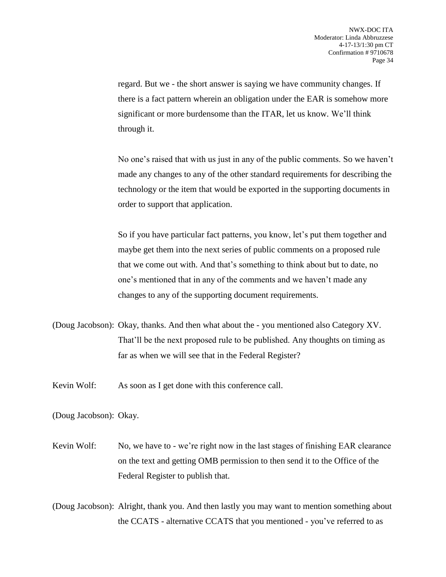regard. But we - the short answer is saying we have community changes. If there is a fact pattern wherein an obligation under the EAR is somehow more significant or more burdensome than the ITAR, let us know. We'll think through it.

No one's raised that with us just in any of the public comments. So we haven't made any changes to any of the other standard requirements for describing the technology or the item that would be exported in the supporting documents in order to support that application.

So if you have particular fact patterns, you know, let's put them together and maybe get them into the next series of public comments on a proposed rule that we come out with. And that's something to think about but to date, no one's mentioned that in any of the comments and we haven't made any changes to any of the supporting document requirements.

- (Doug Jacobson): Okay, thanks. And then what about the you mentioned also Category XV. That'll be the next proposed rule to be published. Any thoughts on timing as far as when we will see that in the Federal Register?
- Kevin Wolf: As soon as I get done with this conference call.

(Doug Jacobson): Okay.

Kevin Wolf: No, we have to - we're right now in the last stages of finishing EAR clearance on the text and getting OMB permission to then send it to the Office of the Federal Register to publish that.

(Doug Jacobson): Alright, thank you. And then lastly you may want to mention something about the CCATS - alternative CCATS that you mentioned - you've referred to as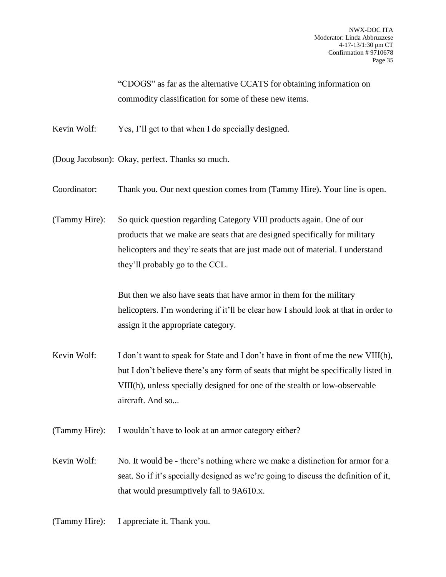"CDOGS" as far as the alternative CCATS for obtaining information on commodity classification for some of these new items.

Kevin Wolf: Yes, I'll get to that when I do specially designed.

(Doug Jacobson): Okay, perfect. Thanks so much.

Coordinator: Thank you. Our next question comes from (Tammy Hire). Your line is open.

(Tammy Hire): So quick question regarding Category VIII products again. One of our products that we make are seats that are designed specifically for military helicopters and they're seats that are just made out of material. I understand they'll probably go to the CCL.

> But then we also have seats that have armor in them for the military helicopters. I'm wondering if it'll be clear how I should look at that in order to assign it the appropriate category.

Kevin Wolf: I don't want to speak for State and I don't have in front of me the new VIII(h), but I don't believe there's any form of seats that might be specifically listed in VIII(h), unless specially designed for one of the stealth or low-observable aircraft. And so...

(Tammy Hire): I wouldn't have to look at an armor category either?

Kevin Wolf: No. It would be - there's nothing where we make a distinction for armor for a seat. So if it's specially designed as we're going to discuss the definition of it, that would presumptively fall to 9A610.x.

(Tammy Hire): I appreciate it. Thank you.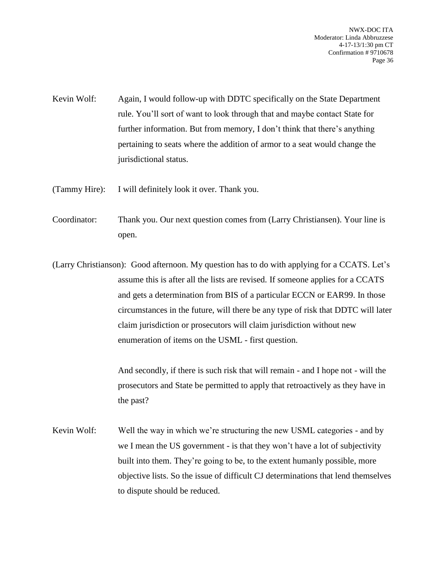NWX-DOC ITA Moderator: Linda Abbruzzese 4-17-13/1:30 pm CT Confirmation # 9710678 Page 36

- Kevin Wolf: Again, I would follow-up with DDTC specifically on the State Department rule. You'll sort of want to look through that and maybe contact State for further information. But from memory, I don't think that there's anything pertaining to seats where the addition of armor to a seat would change the jurisdictional status.
- (Tammy Hire): I will definitely look it over. Thank you.
- Coordinator: Thank you. Our next question comes from (Larry Christiansen). Your line is open.
- (Larry Christianson): Good afternoon. My question has to do with applying for a CCATS. Let's assume this is after all the lists are revised. If someone applies for a CCATS and gets a determination from BIS of a particular ECCN or EAR99. In those circumstances in the future, will there be any type of risk that DDTC will later claim jurisdiction or prosecutors will claim jurisdiction without new enumeration of items on the USML - first question.

And secondly, if there is such risk that will remain - and I hope not - will the prosecutors and State be permitted to apply that retroactively as they have in the past?

Kevin Wolf: Well the way in which we're structuring the new USML categories - and by we I mean the US government - is that they won't have a lot of subjectivity built into them. They're going to be, to the extent humanly possible, more objective lists. So the issue of difficult CJ determinations that lend themselves to dispute should be reduced.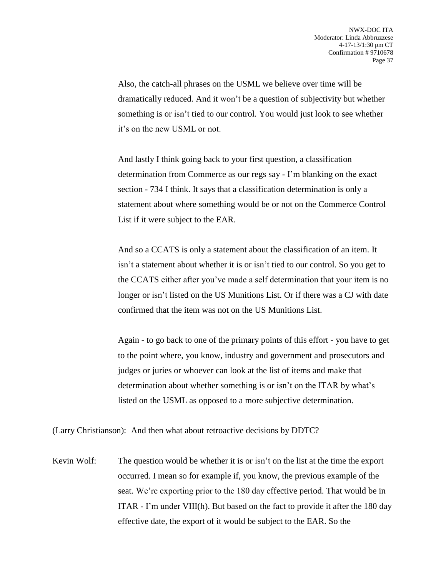Also, the catch-all phrases on the USML we believe over time will be dramatically reduced. And it won't be a question of subjectivity but whether something is or isn't tied to our control. You would just look to see whether it's on the new USML or not.

And lastly I think going back to your first question, a classification determination from Commerce as our regs say - I'm blanking on the exact section - 734 I think. It says that a classification determination is only a statement about where something would be or not on the Commerce Control List if it were subject to the EAR.

And so a CCATS is only a statement about the classification of an item. It isn't a statement about whether it is or isn't tied to our control. So you get to the CCATS either after you've made a self determination that your item is no longer or isn't listed on the US Munitions List. Or if there was a CJ with date confirmed that the item was not on the US Munitions List.

Again - to go back to one of the primary points of this effort - you have to get to the point where, you know, industry and government and prosecutors and judges or juries or whoever can look at the list of items and make that determination about whether something is or isn't on the ITAR by what's listed on the USML as opposed to a more subjective determination.

(Larry Christianson): And then what about retroactive decisions by DDTC?

Kevin Wolf: The question would be whether it is or isn't on the list at the time the export occurred. I mean so for example if, you know, the previous example of the seat. We're exporting prior to the 180 day effective period. That would be in ITAR - I'm under VIII(h). But based on the fact to provide it after the 180 day effective date, the export of it would be subject to the EAR. So the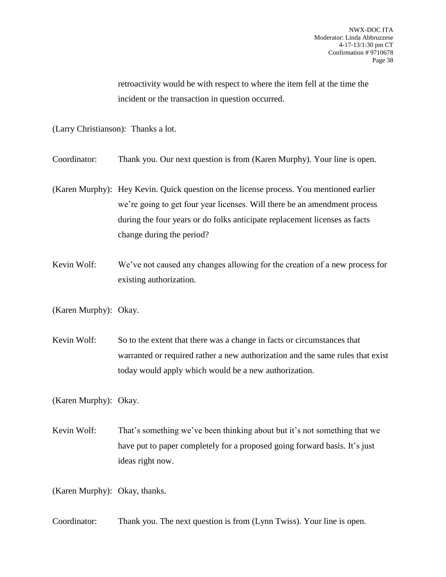retroactivity would be with respect to where the item fell at the time the incident or the transaction in question occurred.

(Larry Christianson): Thanks a lot.

Coordinator: Thank you. Our next question is from (Karen Murphy). Your line is open.

- (Karen Murphy): Hey Kevin. Quick question on the license process. You mentioned earlier we're going to get four year licenses. Will there be an amendment process during the four years or do folks anticipate replacement licenses as facts change during the period?
- Kevin Wolf: We've not caused any changes allowing for the creation of a new process for existing authorization.

(Karen Murphy): Okay.

Kevin Wolf: So to the extent that there was a change in facts or circumstances that warranted or required rather a new authorization and the same rules that exist today would apply which would be a new authorization.

(Karen Murphy): Okay.

Kevin Wolf: That's something we've been thinking about but it's not something that we have put to paper completely for a proposed going forward basis. It's just ideas right now.

(Karen Murphy): Okay, thanks.

Coordinator: Thank you. The next question is from (Lynn Twiss). Your line is open.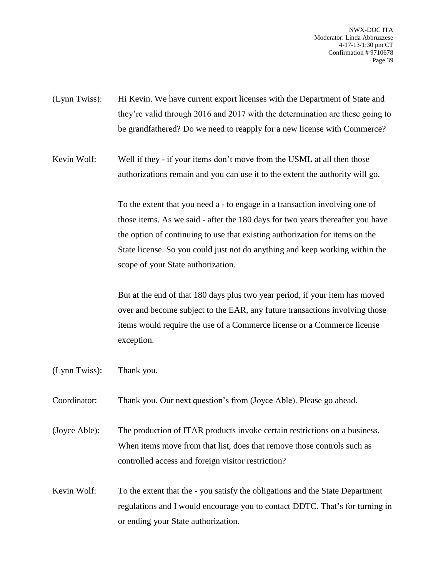NWX-DOC ITA Moderator: Linda Abbruzzese 4-17-13/1:30 pm CT Confirmation # 9710678 Page 39

(Lynn Twiss): Hi Kevin. We have current export licenses with the Department of State and they're valid through 2016 and 2017 with the determination are these going to be grandfathered? Do we need to reapply for a new license with Commerce?

Kevin Wolf: Well if they - if your items don't move from the USML at all then those authorizations remain and you can use it to the extent the authority will go.

> To the extent that you need a - to engage in a transaction involving one of those items. As we said - after the 180 days for two years thereafter you have the option of continuing to use that existing authorization for items on the State license. So you could just not do anything and keep working within the scope of your State authorization.

> But at the end of that 180 days plus two year period, if your item has moved over and become subject to the EAR, any future transactions involving those items would require the use of a Commerce license or a Commerce license exception.

- (Lynn Twiss): Thank you.
- Coordinator: Thank you. Our next question's from (Joyce Able). Please go ahead.

(Joyce Able): The production of ITAR products invoke certain restrictions on a business. When items move from that list, does that remove those controls such as controlled access and foreign visitor restriction?

Kevin Wolf: To the extent that the - you satisfy the obligations and the State Department regulations and I would encourage you to contact DDTC. That's for turning in or ending your State authorization.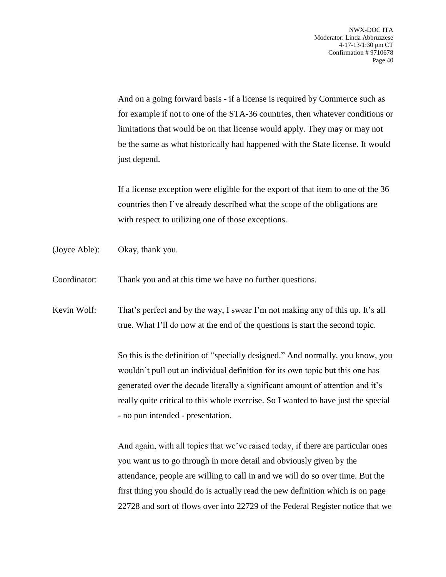And on a going forward basis - if a license is required by Commerce such as for example if not to one of the STA-36 countries, then whatever conditions or limitations that would be on that license would apply. They may or may not be the same as what historically had happened with the State license. It would just depend.

If a license exception were eligible for the export of that item to one of the 36 countries then I've already described what the scope of the obligations are with respect to utilizing one of those exceptions.

(Joyce Able): Okay, thank you.

Coordinator: Thank you and at this time we have no further questions.

Kevin Wolf: That's perfect and by the way, I swear I'm not making any of this up. It's all true. What I'll do now at the end of the questions is start the second topic.

> So this is the definition of "specially designed." And normally, you know, you wouldn't pull out an individual definition for its own topic but this one has generated over the decade literally a significant amount of attention and it's really quite critical to this whole exercise. So I wanted to have just the special - no pun intended - presentation.

> And again, with all topics that we've raised today, if there are particular ones you want us to go through in more detail and obviously given by the attendance, people are willing to call in and we will do so over time. But the first thing you should do is actually read the new definition which is on page 22728 and sort of flows over into 22729 of the Federal Register notice that we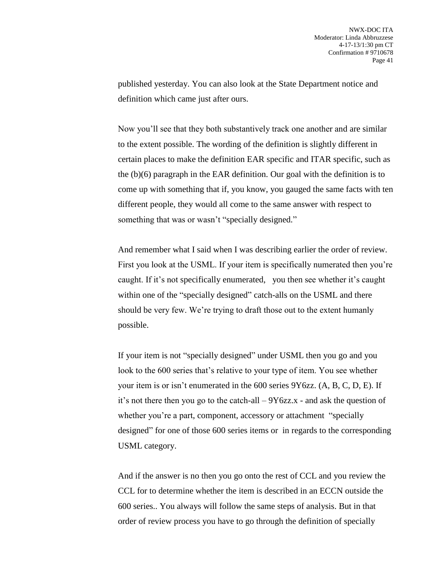published yesterday. You can also look at the State Department notice and definition which came just after ours.

Now you'll see that they both substantively track one another and are similar to the extent possible. The wording of the definition is slightly different in certain places to make the definition EAR specific and ITAR specific, such as the (b)(6) paragraph in the EAR definition. Our goal with the definition is to come up with something that if, you know, you gauged the same facts with ten different people, they would all come to the same answer with respect to something that was or wasn't "specially designed."

And remember what I said when I was describing earlier the order of review. First you look at the USML. If your item is specifically numerated then you're caught. If it's not specifically enumerated, you then see whether it's caught within one of the "specially designed" catch-alls on the USML and there should be very few. We're trying to draft those out to the extent humanly possible.

If your item is not "specially designed" under USML then you go and you look to the 600 series that's relative to your type of item. You see whether your item is or isn't enumerated in the 600 series 9Y6zz. (A, B, C, D, E). If it's not there then you go to the catch-all – 9Y6zz.x - and ask the question of whether you're a part, component, accessory or attachment "specially" designed" for one of those 600 series items or in regards to the corresponding USML category.

And if the answer is no then you go onto the rest of CCL and you review the CCL for to determine whether the item is described in an ECCN outside the 600 series.. You always will follow the same steps of analysis. But in that order of review process you have to go through the definition of specially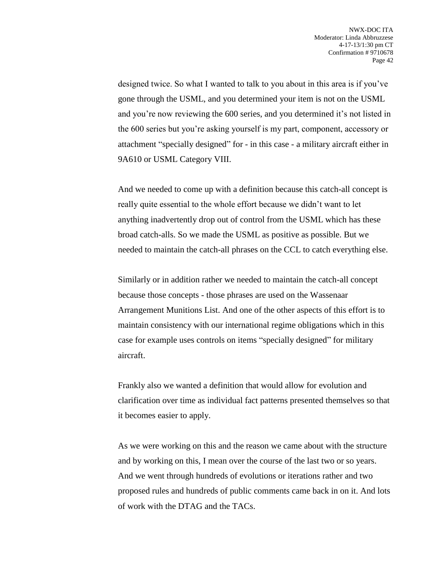designed twice. So what I wanted to talk to you about in this area is if you've gone through the USML, and you determined your item is not on the USML and you're now reviewing the 600 series, and you determined it's not listed in the 600 series but you're asking yourself is my part, component, accessory or attachment "specially designed" for - in this case - a military aircraft either in 9A610 or USML Category VIII.

And we needed to come up with a definition because this catch-all concept is really quite essential to the whole effort because we didn't want to let anything inadvertently drop out of control from the USML which has these broad catch-alls. So we made the USML as positive as possible. But we needed to maintain the catch-all phrases on the CCL to catch everything else.

Similarly or in addition rather we needed to maintain the catch-all concept because those concepts - those phrases are used on the Wassenaar Arrangement Munitions List. And one of the other aspects of this effort is to maintain consistency with our international regime obligations which in this case for example uses controls on items "specially designed" for military aircraft.

Frankly also we wanted a definition that would allow for evolution and clarification over time as individual fact patterns presented themselves so that it becomes easier to apply.

As we were working on this and the reason we came about with the structure and by working on this, I mean over the course of the last two or so years. And we went through hundreds of evolutions or iterations rather and two proposed rules and hundreds of public comments came back in on it. And lots of work with the DTAG and the TACs.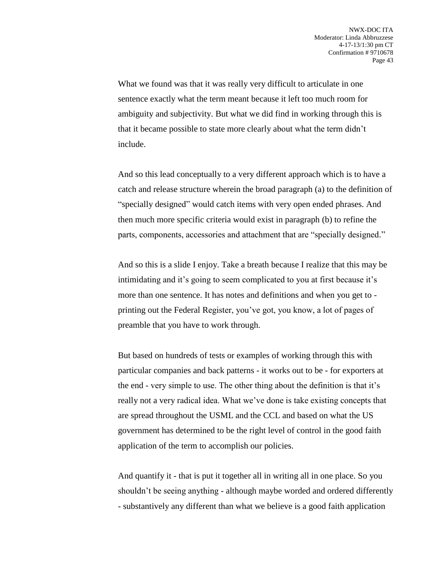What we found was that it was really very difficult to articulate in one sentence exactly what the term meant because it left too much room for ambiguity and subjectivity. But what we did find in working through this is that it became possible to state more clearly about what the term didn't include.

And so this lead conceptually to a very different approach which is to have a catch and release structure wherein the broad paragraph (a) to the definition of "specially designed" would catch items with very open ended phrases. And then much more specific criteria would exist in paragraph (b) to refine the parts, components, accessories and attachment that are "specially designed."

And so this is a slide I enjoy. Take a breath because I realize that this may be intimidating and it's going to seem complicated to you at first because it's more than one sentence. It has notes and definitions and when you get to printing out the Federal Register, you've got, you know, a lot of pages of preamble that you have to work through.

But based on hundreds of tests or examples of working through this with particular companies and back patterns - it works out to be - for exporters at the end - very simple to use. The other thing about the definition is that it's really not a very radical idea. What we've done is take existing concepts that are spread throughout the USML and the CCL and based on what the US government has determined to be the right level of control in the good faith application of the term to accomplish our policies.

And quantify it - that is put it together all in writing all in one place. So you shouldn't be seeing anything - although maybe worded and ordered differently - substantively any different than what we believe is a good faith application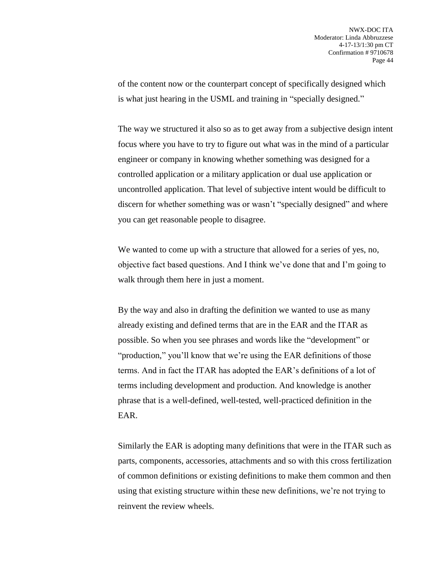of the content now or the counterpart concept of specifically designed which is what just hearing in the USML and training in "specially designed."

The way we structured it also so as to get away from a subjective design intent focus where you have to try to figure out what was in the mind of a particular engineer or company in knowing whether something was designed for a controlled application or a military application or dual use application or uncontrolled application. That level of subjective intent would be difficult to discern for whether something was or wasn't "specially designed" and where you can get reasonable people to disagree.

We wanted to come up with a structure that allowed for a series of yes, no, objective fact based questions. And I think we've done that and I'm going to walk through them here in just a moment.

By the way and also in drafting the definition we wanted to use as many already existing and defined terms that are in the EAR and the ITAR as possible. So when you see phrases and words like the "development" or "production," you'll know that we're using the EAR definitions of those terms. And in fact the ITAR has adopted the EAR's definitions of a lot of terms including development and production. And knowledge is another phrase that is a well-defined, well-tested, well-practiced definition in the EAR.

Similarly the EAR is adopting many definitions that were in the ITAR such as parts, components, accessories, attachments and so with this cross fertilization of common definitions or existing definitions to make them common and then using that existing structure within these new definitions, we're not trying to reinvent the review wheels.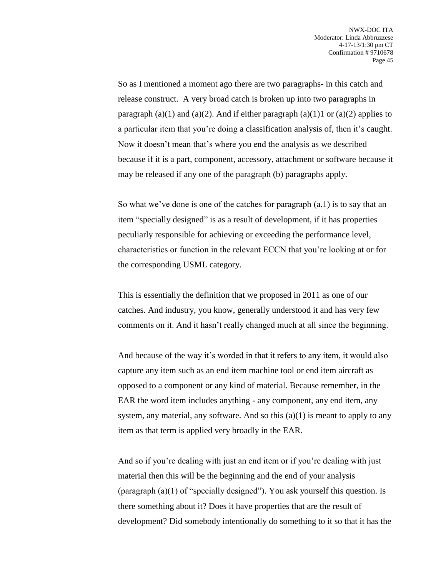So as I mentioned a moment ago there are two paragraphs- in this catch and release construct. A very broad catch is broken up into two paragraphs in paragraph (a)(1) and (a)(2). And if either paragraph (a)(1)1 or (a)(2) applies to a particular item that you're doing a classification analysis of, then it's caught. Now it doesn't mean that's where you end the analysis as we described because if it is a part, component, accessory, attachment or software because it may be released if any one of the paragraph (b) paragraphs apply.

So what we've done is one of the catches for paragraph (a.1) is to say that an item "specially designed" is as a result of development, if it has properties peculiarly responsible for achieving or exceeding the performance level, characteristics or function in the relevant ECCN that you're looking at or for the corresponding USML category.

This is essentially the definition that we proposed in 2011 as one of our catches. And industry, you know, generally understood it and has very few comments on it. And it hasn't really changed much at all since the beginning.

And because of the way it's worded in that it refers to any item, it would also capture any item such as an end item machine tool or end item aircraft as opposed to a component or any kind of material. Because remember, in the EAR the word item includes anything - any component, any end item, any system, any material, any software. And so this  $(a)(1)$  is meant to apply to any item as that term is applied very broadly in the EAR.

And so if you're dealing with just an end item or if you're dealing with just material then this will be the beginning and the end of your analysis (paragraph (a)(1) of "specially designed"). You ask yourself this question. Is there something about it? Does it have properties that are the result of development? Did somebody intentionally do something to it so that it has the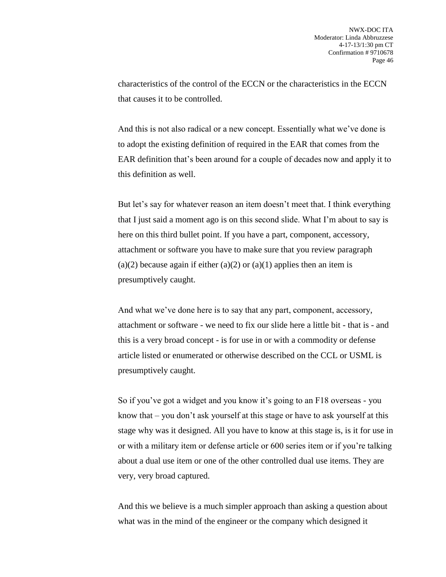characteristics of the control of the ECCN or the characteristics in the ECCN that causes it to be controlled.

And this is not also radical or a new concept. Essentially what we've done is to adopt the existing definition of required in the EAR that comes from the EAR definition that's been around for a couple of decades now and apply it to this definition as well.

But let's say for whatever reason an item doesn't meet that. I think everything that I just said a moment ago is on this second slide. What I'm about to say is here on this third bullet point. If you have a part, component, accessory, attachment or software you have to make sure that you review paragraph (a)(2) because again if either (a)(2) or (a)(1) applies then an item is presumptively caught.

And what we've done here is to say that any part, component, accessory, attachment or software - we need to fix our slide here a little bit - that is - and this is a very broad concept - is for use in or with a commodity or defense article listed or enumerated or otherwise described on the CCL or USML is presumptively caught.

So if you've got a widget and you know it's going to an F18 overseas - you know that – you don't ask yourself at this stage or have to ask yourself at this stage why was it designed. All you have to know at this stage is, is it for use in or with a military item or defense article or 600 series item or if you're talking about a dual use item or one of the other controlled dual use items. They are very, very broad captured.

And this we believe is a much simpler approach than asking a question about what was in the mind of the engineer or the company which designed it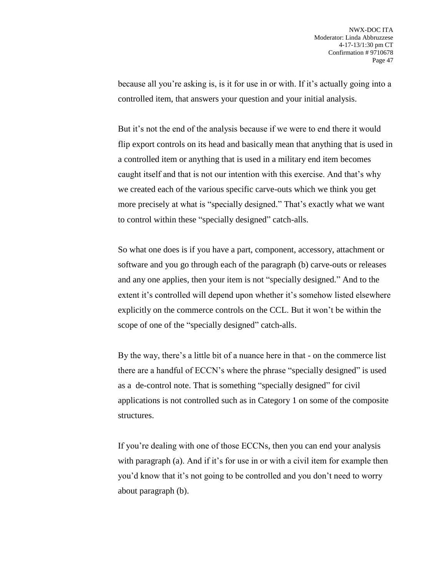because all you're asking is, is it for use in or with. If it's actually going into a controlled item, that answers your question and your initial analysis.

But it's not the end of the analysis because if we were to end there it would flip export controls on its head and basically mean that anything that is used in a controlled item or anything that is used in a military end item becomes caught itself and that is not our intention with this exercise. And that's why we created each of the various specific carve-outs which we think you get more precisely at what is "specially designed." That's exactly what we want to control within these "specially designed" catch-alls.

So what one does is if you have a part, component, accessory, attachment or software and you go through each of the paragraph (b) carve-outs or releases and any one applies, then your item is not "specially designed." And to the extent it's controlled will depend upon whether it's somehow listed elsewhere explicitly on the commerce controls on the CCL. But it won't be within the scope of one of the "specially designed" catch-alls.

By the way, there's a little bit of a nuance here in that - on the commerce list there are a handful of ECCN's where the phrase "specially designed" is used as a de-control note. That is something "specially designed" for civil applications is not controlled such as in Category 1 on some of the composite structures.

If you're dealing with one of those ECCNs, then you can end your analysis with paragraph (a). And if it's for use in or with a civil item for example then you'd know that it's not going to be controlled and you don't need to worry about paragraph (b).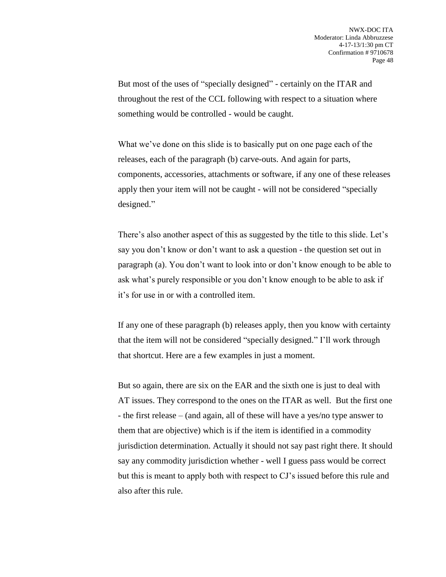But most of the uses of "specially designed" - certainly on the ITAR and throughout the rest of the CCL following with respect to a situation where something would be controlled - would be caught.

What we've done on this slide is to basically put on one page each of the releases, each of the paragraph (b) carve-outs. And again for parts, components, accessories, attachments or software, if any one of these releases apply then your item will not be caught - will not be considered "specially designed."

There's also another aspect of this as suggested by the title to this slide. Let's say you don't know or don't want to ask a question - the question set out in paragraph (a). You don't want to look into or don't know enough to be able to ask what's purely responsible or you don't know enough to be able to ask if it's for use in or with a controlled item.

If any one of these paragraph (b) releases apply, then you know with certainty that the item will not be considered "specially designed." I'll work through that shortcut. Here are a few examples in just a moment.

But so again, there are six on the EAR and the sixth one is just to deal with AT issues. They correspond to the ones on the ITAR as well. But the first one - the first release – (and again, all of these will have a yes/no type answer to them that are objective) which is if the item is identified in a commodity jurisdiction determination. Actually it should not say past right there. It should say any commodity jurisdiction whether - well I guess pass would be correct but this is meant to apply both with respect to CJ's issued before this rule and also after this rule.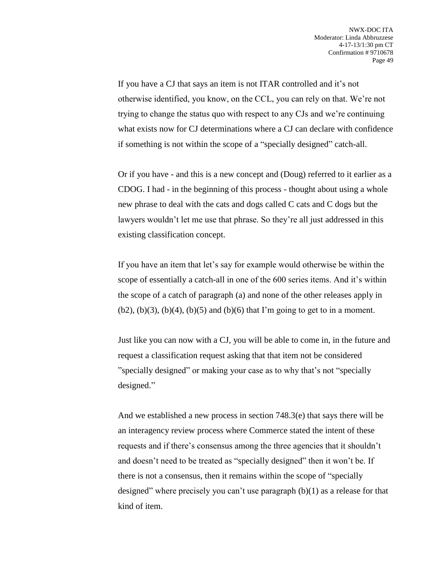If you have a CJ that says an item is not ITAR controlled and it's not otherwise identified, you know, on the CCL, you can rely on that. We're not trying to change the status quo with respect to any CJs and we're continuing what exists now for CJ determinations where a CJ can declare with confidence if something is not within the scope of a "specially designed" catch-all.

Or if you have - and this is a new concept and (Doug) referred to it earlier as a CDOG. I had - in the beginning of this process - thought about using a whole new phrase to deal with the cats and dogs called C cats and C dogs but the lawyers wouldn't let me use that phrase. So they're all just addressed in this existing classification concept.

If you have an item that let's say for example would otherwise be within the scope of essentially a catch-all in one of the 600 series items. And it's within the scope of a catch of paragraph (a) and none of the other releases apply in  $(b2)$ ,  $(b)(3)$ ,  $(b)(4)$ ,  $(b)(5)$  and  $(b)(6)$  that I'm going to get to in a moment.

Just like you can now with a CJ, you will be able to come in, in the future and request a classification request asking that that item not be considered "specially designed" or making your case as to why that's not "specially designed."

And we established a new process in section 748.3(e) that says there will be an interagency review process where Commerce stated the intent of these requests and if there's consensus among the three agencies that it shouldn't and doesn't need to be treated as "specially designed" then it won't be. If there is not a consensus, then it remains within the scope of "specially designed" where precisely you can't use paragraph (b)(1) as a release for that kind of item.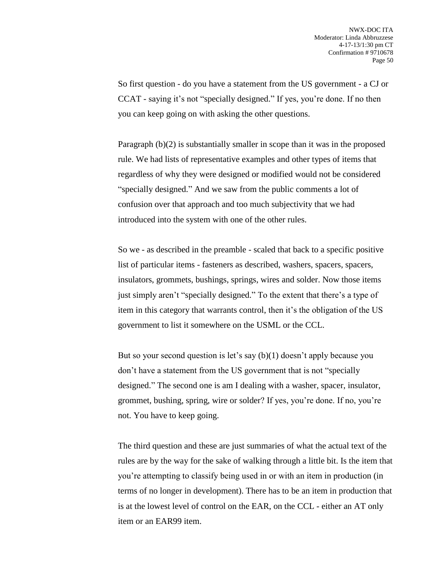So first question - do you have a statement from the US government - a CJ or CCAT - saying it's not "specially designed." If yes, you're done. If no then you can keep going on with asking the other questions.

Paragraph (b)(2) is substantially smaller in scope than it was in the proposed rule. We had lists of representative examples and other types of items that regardless of why they were designed or modified would not be considered "specially designed." And we saw from the public comments a lot of confusion over that approach and too much subjectivity that we had introduced into the system with one of the other rules.

So we - as described in the preamble - scaled that back to a specific positive list of particular items - fasteners as described, washers, spacers, spacers, insulators, grommets, bushings, springs, wires and solder. Now those items just simply aren't "specially designed." To the extent that there's a type of item in this category that warrants control, then it's the obligation of the US government to list it somewhere on the USML or the CCL.

But so your second question is let's say (b)(1) doesn't apply because you don't have a statement from the US government that is not "specially designed." The second one is am I dealing with a washer, spacer, insulator, grommet, bushing, spring, wire or solder? If yes, you're done. If no, you're not. You have to keep going.

The third question and these are just summaries of what the actual text of the rules are by the way for the sake of walking through a little bit. Is the item that you're attempting to classify being used in or with an item in production (in terms of no longer in development). There has to be an item in production that is at the lowest level of control on the EAR, on the CCL - either an AT only item or an EAR99 item.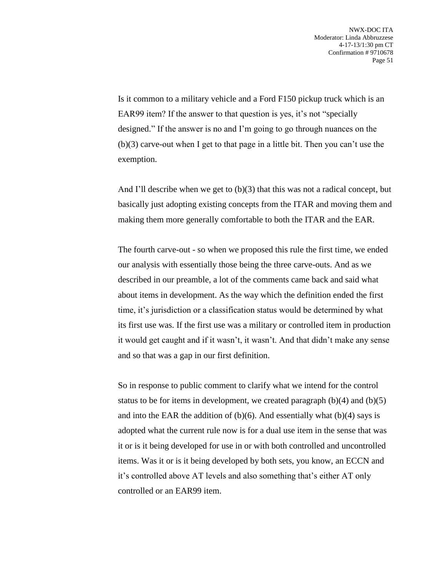Is it common to a military vehicle and a Ford F150 pickup truck which is an EAR99 item? If the answer to that question is yes, it's not "specially designed." If the answer is no and I'm going to go through nuances on the (b)(3) carve-out when I get to that page in a little bit. Then you can't use the exemption.

And I'll describe when we get to  $(b)(3)$  that this was not a radical concept, but basically just adopting existing concepts from the ITAR and moving them and making them more generally comfortable to both the ITAR and the EAR.

The fourth carve-out - so when we proposed this rule the first time, we ended our analysis with essentially those being the three carve-outs. And as we described in our preamble, a lot of the comments came back and said what about items in development. As the way which the definition ended the first time, it's jurisdiction or a classification status would be determined by what its first use was. If the first use was a military or controlled item in production it would get caught and if it wasn't, it wasn't. And that didn't make any sense and so that was a gap in our first definition.

So in response to public comment to clarify what we intend for the control status to be for items in development, we created paragraph  $(b)(4)$  and  $(b)(5)$ and into the EAR the addition of  $(b)(6)$ . And essentially what  $(b)(4)$  says is adopted what the current rule now is for a dual use item in the sense that was it or is it being developed for use in or with both controlled and uncontrolled items. Was it or is it being developed by both sets, you know, an ECCN and it's controlled above AT levels and also something that's either AT only controlled or an EAR99 item.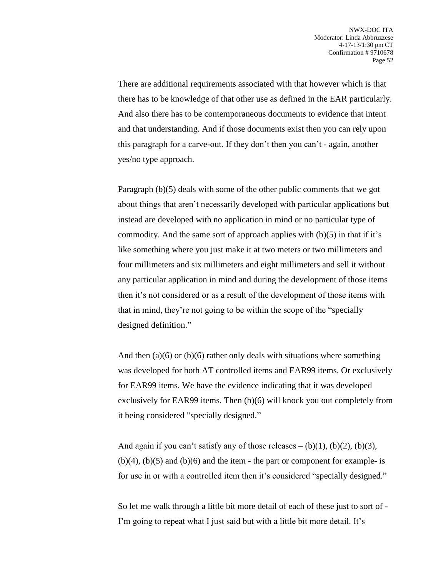There are additional requirements associated with that however which is that there has to be knowledge of that other use as defined in the EAR particularly. And also there has to be contemporaneous documents to evidence that intent and that understanding. And if those documents exist then you can rely upon this paragraph for a carve-out. If they don't then you can't - again, another yes/no type approach.

Paragraph (b)(5) deals with some of the other public comments that we got about things that aren't necessarily developed with particular applications but instead are developed with no application in mind or no particular type of commodity. And the same sort of approach applies with  $(b)(5)$  in that if it's like something where you just make it at two meters or two millimeters and four millimeters and six millimeters and eight millimeters and sell it without any particular application in mind and during the development of those items then it's not considered or as a result of the development of those items with that in mind, they're not going to be within the scope of the "specially designed definition."

And then  $(a)(6)$  or  $(b)(6)$  rather only deals with situations where something was developed for both AT controlled items and EAR99 items. Or exclusively for EAR99 items. We have the evidence indicating that it was developed exclusively for EAR99 items. Then (b)(6) will knock you out completely from it being considered "specially designed."

And again if you can't satisfy any of those releases  $- (b)(1)$ ,  $(b)(2)$ ,  $(b)(3)$ ,  $(b)(4)$ ,  $(b)(5)$  and  $(b)(6)$  and the item - the part or component for example- is for use in or with a controlled item then it's considered "specially designed."

So let me walk through a little bit more detail of each of these just to sort of - I'm going to repeat what I just said but with a little bit more detail. It's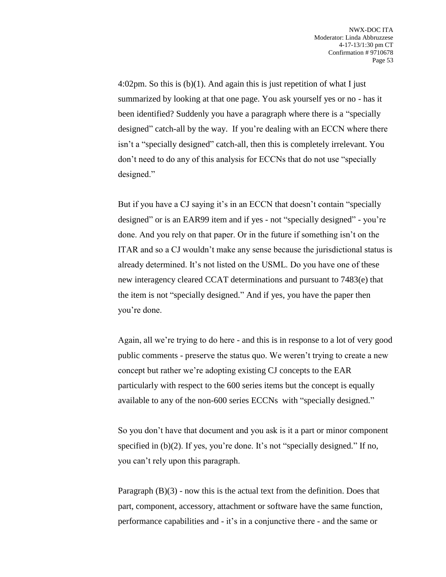4:02pm. So this is (b)(1). And again this is just repetition of what I just summarized by looking at that one page. You ask yourself yes or no - has it been identified? Suddenly you have a paragraph where there is a "specially designed" catch-all by the way. If you're dealing with an ECCN where there isn't a "specially designed" catch-all, then this is completely irrelevant. You don't need to do any of this analysis for ECCNs that do not use "specially designed."

But if you have a CJ saying it's in an ECCN that doesn't contain "specially designed" or is an EAR99 item and if yes - not "specially designed" - you're done. And you rely on that paper. Or in the future if something isn't on the ITAR and so a CJ wouldn't make any sense because the jurisdictional status is already determined. It's not listed on the USML. Do you have one of these new interagency cleared CCAT determinations and pursuant to 7483(e) that the item is not "specially designed." And if yes, you have the paper then you're done.

Again, all we're trying to do here - and this is in response to a lot of very good public comments - preserve the status quo. We weren't trying to create a new concept but rather we're adopting existing CJ concepts to the EAR particularly with respect to the 600 series items but the concept is equally available to any of the non-600 series ECCNs with "specially designed."

So you don't have that document and you ask is it a part or minor component specified in (b)(2). If yes, you're done. It's not "specially designed." If no, you can't rely upon this paragraph.

Paragraph  $(B)(3)$  - now this is the actual text from the definition. Does that part, component, accessory, attachment or software have the same function, performance capabilities and - it's in a conjunctive there - and the same or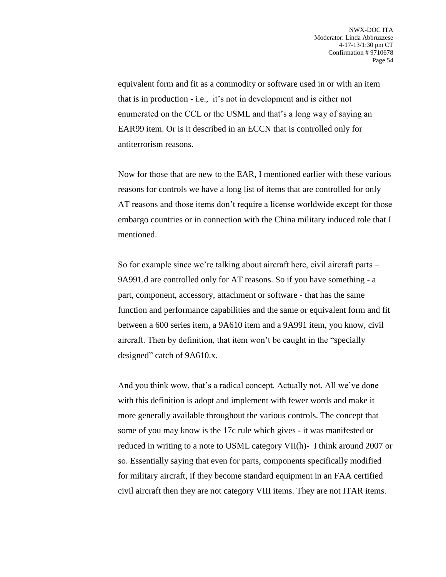equivalent form and fit as a commodity or software used in or with an item that is in production - i.e., it's not in development and is either not enumerated on the CCL or the USML and that's a long way of saying an EAR99 item. Or is it described in an ECCN that is controlled only for antiterrorism reasons.

Now for those that are new to the EAR, I mentioned earlier with these various reasons for controls we have a long list of items that are controlled for only AT reasons and those items don't require a license worldwide except for those embargo countries or in connection with the China military induced role that I mentioned.

So for example since we're talking about aircraft here, civil aircraft parts – 9A991.d are controlled only for AT reasons. So if you have something - a part, component, accessory, attachment or software - that has the same function and performance capabilities and the same or equivalent form and fit between a 600 series item, a 9A610 item and a 9A991 item, you know, civil aircraft. Then by definition, that item won't be caught in the "specially designed" catch of 9A610.x.

And you think wow, that's a radical concept. Actually not. All we've done with this definition is adopt and implement with fewer words and make it more generally available throughout the various controls. The concept that some of you may know is the 17c rule which gives - it was manifested or reduced in writing to a note to USML category VII(h)- I think around 2007 or so. Essentially saying that even for parts, components specifically modified for military aircraft, if they become standard equipment in an FAA certified civil aircraft then they are not category VIII items. They are not ITAR items.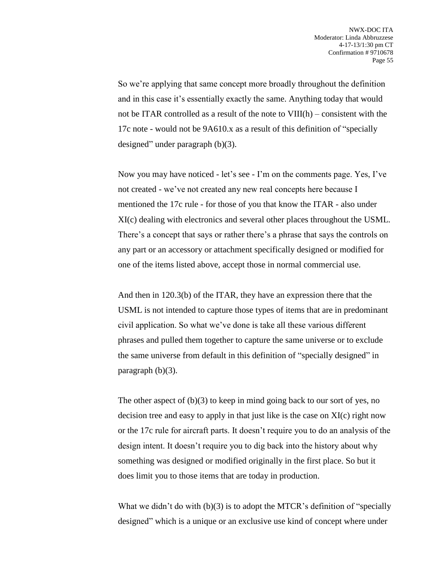So we're applying that same concept more broadly throughout the definition and in this case it's essentially exactly the same. Anything today that would not be ITAR controlled as a result of the note to VIII(h) – consistent with the 17c note - would not be 9A610.x as a result of this definition of "specially designed" under paragraph (b)(3).

Now you may have noticed - let's see - I'm on the comments page. Yes, I've not created - we've not created any new real concepts here because I mentioned the 17c rule - for those of you that know the ITAR - also under XI(c) dealing with electronics and several other places throughout the USML. There's a concept that says or rather there's a phrase that says the controls on any part or an accessory or attachment specifically designed or modified for one of the items listed above, accept those in normal commercial use.

And then in 120.3(b) of the ITAR, they have an expression there that the USML is not intended to capture those types of items that are in predominant civil application. So what we've done is take all these various different phrases and pulled them together to capture the same universe or to exclude the same universe from default in this definition of "specially designed" in paragraph  $(b)(3)$ .

The other aspect of (b)(3) to keep in mind going back to our sort of yes, no decision tree and easy to apply in that just like is the case on XI(c) right now or the 17c rule for aircraft parts. It doesn't require you to do an analysis of the design intent. It doesn't require you to dig back into the history about why something was designed or modified originally in the first place. So but it does limit you to those items that are today in production.

What we didn't do with  $(b)(3)$  is to adopt the MTCR's definition of "specially" designed" which is a unique or an exclusive use kind of concept where under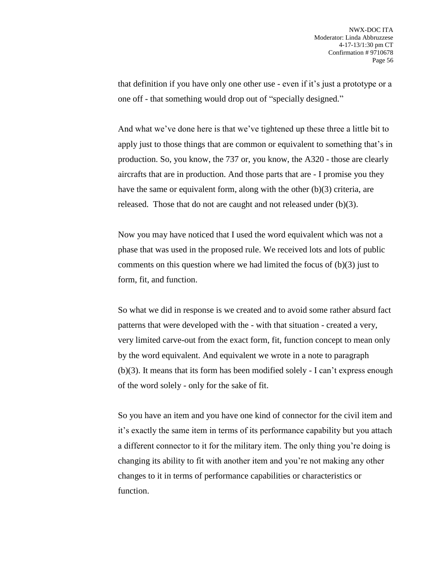that definition if you have only one other use - even if it's just a prototype or a one off - that something would drop out of "specially designed."

And what we've done here is that we've tightened up these three a little bit to apply just to those things that are common or equivalent to something that's in production. So, you know, the 737 or, you know, the A320 - those are clearly aircrafts that are in production. And those parts that are - I promise you they have the same or equivalent form, along with the other (b)(3) criteria, are released. Those that do not are caught and not released under (b)(3).

Now you may have noticed that I used the word equivalent which was not a phase that was used in the proposed rule. We received lots and lots of public comments on this question where we had limited the focus of  $(b)(3)$  just to form, fit, and function.

So what we did in response is we created and to avoid some rather absurd fact patterns that were developed with the - with that situation - created a very, very limited carve-out from the exact form, fit, function concept to mean only by the word equivalent. And equivalent we wrote in a note to paragraph (b)(3). It means that its form has been modified solely - I can't express enough of the word solely - only for the sake of fit.

So you have an item and you have one kind of connector for the civil item and it's exactly the same item in terms of its performance capability but you attach a different connector to it for the military item. The only thing you're doing is changing its ability to fit with another item and you're not making any other changes to it in terms of performance capabilities or characteristics or function.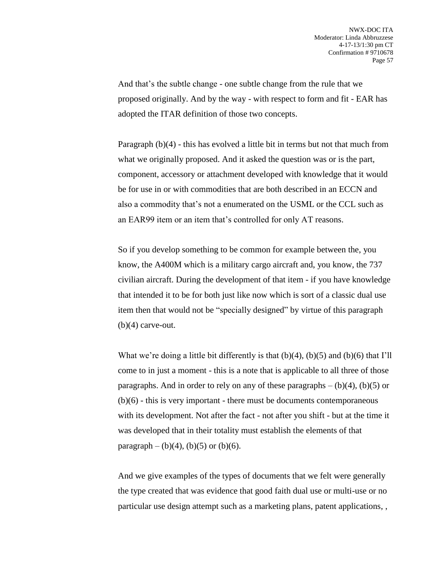And that's the subtle change - one subtle change from the rule that we proposed originally. And by the way - with respect to form and fit - EAR has adopted the ITAR definition of those two concepts.

Paragraph (b)(4) - this has evolved a little bit in terms but not that much from what we originally proposed. And it asked the question was or is the part, component, accessory or attachment developed with knowledge that it would be for use in or with commodities that are both described in an ECCN and also a commodity that's not a enumerated on the USML or the CCL such as an EAR99 item or an item that's controlled for only AT reasons.

So if you develop something to be common for example between the, you know, the A400M which is a military cargo aircraft and, you know, the 737 civilian aircraft. During the development of that item - if you have knowledge that intended it to be for both just like now which is sort of a classic dual use item then that would not be "specially designed" by virtue of this paragraph  $(b)(4)$  carve-out.

What we're doing a little bit differently is that  $(b)(4)$ ,  $(b)(5)$  and  $(b)(6)$  that I'll come to in just a moment - this is a note that is applicable to all three of those paragraphs. And in order to rely on any of these paragraphs  $-$  (b)(4), (b)(5) or (b)(6) - this is very important - there must be documents contemporaneous with its development. Not after the fact - not after you shift - but at the time it was developed that in their totality must establish the elements of that paragraph – (b)(4), (b)(5) or (b)(6).

And we give examples of the types of documents that we felt were generally the type created that was evidence that good faith dual use or multi-use or no particular use design attempt such as a marketing plans, patent applications, ,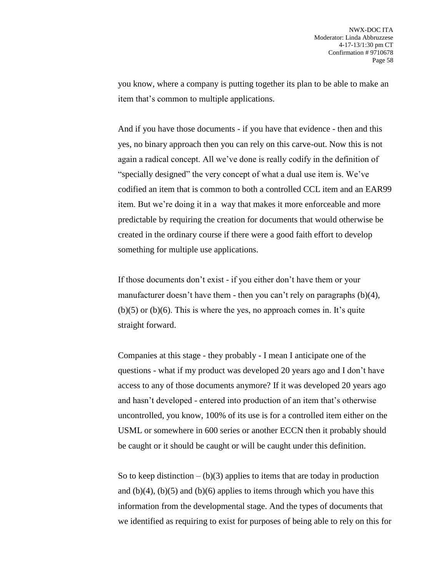you know, where a company is putting together its plan to be able to make an item that's common to multiple applications.

And if you have those documents - if you have that evidence - then and this yes, no binary approach then you can rely on this carve-out. Now this is not again a radical concept. All we've done is really codify in the definition of "specially designed" the very concept of what a dual use item is. We've codified an item that is common to both a controlled CCL item and an EAR99 item. But we're doing it in a way that makes it more enforceable and more predictable by requiring the creation for documents that would otherwise be created in the ordinary course if there were a good faith effort to develop something for multiple use applications.

If those documents don't exist - if you either don't have them or your manufacturer doesn't have them - then you can't rely on paragraphs (b)(4),  $(b)(5)$  or  $(b)(6)$ . This is where the yes, no approach comes in. It's quite straight forward.

Companies at this stage - they probably - I mean I anticipate one of the questions - what if my product was developed 20 years ago and I don't have access to any of those documents anymore? If it was developed 20 years ago and hasn't developed - entered into production of an item that's otherwise uncontrolled, you know, 100% of its use is for a controlled item either on the USML or somewhere in 600 series or another ECCN then it probably should be caught or it should be caught or will be caught under this definition.

So to keep distinction  $- (b)(3)$  applies to items that are today in production and  $(b)(4)$ ,  $(b)(5)$  and  $(b)(6)$  applies to items through which you have this information from the developmental stage. And the types of documents that we identified as requiring to exist for purposes of being able to rely on this for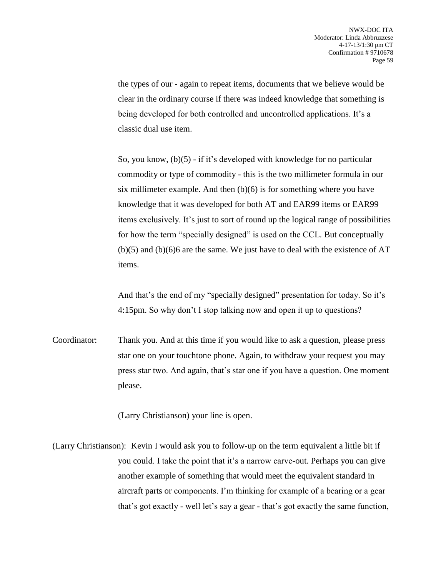the types of our - again to repeat items, documents that we believe would be clear in the ordinary course if there was indeed knowledge that something is being developed for both controlled and uncontrolled applications. It's a classic dual use item.

So, you know, (b)(5) - if it's developed with knowledge for no particular commodity or type of commodity - this is the two millimeter formula in our six millimeter example. And then  $(b)(6)$  is for something where you have knowledge that it was developed for both AT and EAR99 items or EAR99 items exclusively. It's just to sort of round up the logical range of possibilities for how the term "specially designed" is used on the CCL. But conceptually  $(b)(5)$  and  $(b)(6)$  are the same. We just have to deal with the existence of AT items.

And that's the end of my "specially designed" presentation for today. So it's 4:15pm. So why don't I stop talking now and open it up to questions?

Coordinator: Thank you. And at this time if you would like to ask a question, please press star one on your touchtone phone. Again, to withdraw your request you may press star two. And again, that's star one if you have a question. One moment please.

(Larry Christianson) your line is open.

(Larry Christianson): Kevin I would ask you to follow-up on the term equivalent a little bit if you could. I take the point that it's a narrow carve-out. Perhaps you can give another example of something that would meet the equivalent standard in aircraft parts or components. I'm thinking for example of a bearing or a gear that's got exactly - well let's say a gear - that's got exactly the same function,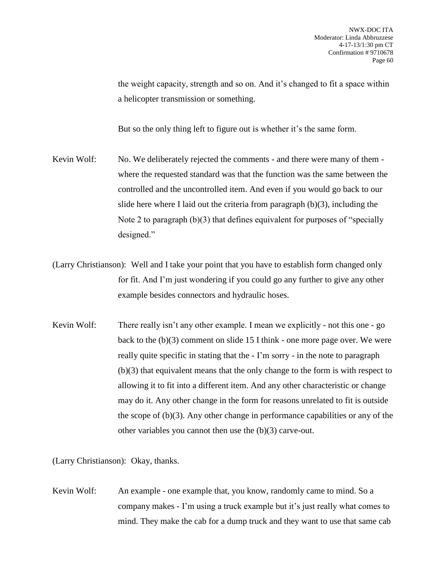the weight capacity, strength and so on. And it's changed to fit a space within a helicopter transmission or something.

But so the only thing left to figure out is whether it's the same form.

- Kevin Wolf: No. We deliberately rejected the comments and there were many of them where the requested standard was that the function was the same between the controlled and the uncontrolled item. And even if you would go back to our slide here where I laid out the criteria from paragraph (b)(3), including the Note 2 to paragraph (b)(3) that defines equivalent for purposes of "specially designed."
- (Larry Christianson): Well and I take your point that you have to establish form changed only for fit. And I'm just wondering if you could go any further to give any other example besides connectors and hydraulic hoses.
- Kevin Wolf: There really isn't any other example. I mean we explicitly not this one go back to the (b)(3) comment on slide 15 I think - one more page over. We were really quite specific in stating that the - I'm sorry - in the note to paragraph (b)(3) that equivalent means that the only change to the form is with respect to allowing it to fit into a different item. And any other characteristic or change may do it. Any other change in the form for reasons unrelated to fit is outside the scope of (b)(3). Any other change in performance capabilities or any of the other variables you cannot then use the (b)(3) carve-out.

(Larry Christianson): Okay, thanks.

Kevin Wolf: An example - one example that, you know, randomly came to mind. So a company makes - I'm using a truck example but it's just really what comes to mind. They make the cab for a dump truck and they want to use that same cab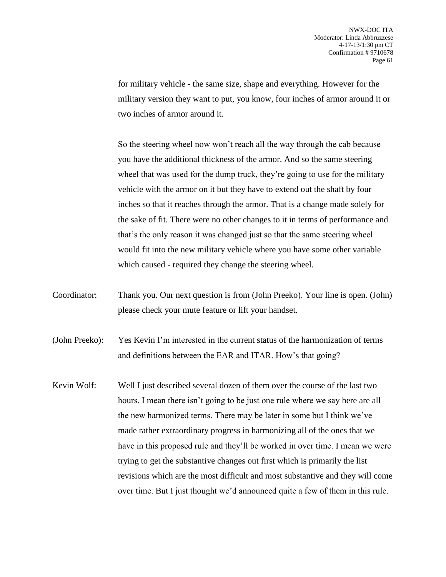for military vehicle - the same size, shape and everything. However for the military version they want to put, you know, four inches of armor around it or two inches of armor around it.

So the steering wheel now won't reach all the way through the cab because you have the additional thickness of the armor. And so the same steering wheel that was used for the dump truck, they're going to use for the military vehicle with the armor on it but they have to extend out the shaft by four inches so that it reaches through the armor. That is a change made solely for the sake of fit. There were no other changes to it in terms of performance and that's the only reason it was changed just so that the same steering wheel would fit into the new military vehicle where you have some other variable which caused - required they change the steering wheel.

Coordinator: Thank you. Our next question is from (John Preeko). Your line is open. (John) please check your mute feature or lift your handset.

(John Preeko): Yes Kevin I'm interested in the current status of the harmonization of terms and definitions between the EAR and ITAR. How's that going?

Kevin Wolf: Well I just described several dozen of them over the course of the last two hours. I mean there isn't going to be just one rule where we say here are all the new harmonized terms. There may be later in some but I think we've made rather extraordinary progress in harmonizing all of the ones that we have in this proposed rule and they'll be worked in over time. I mean we were trying to get the substantive changes out first which is primarily the list revisions which are the most difficult and most substantive and they will come over time. But I just thought we'd announced quite a few of them in this rule.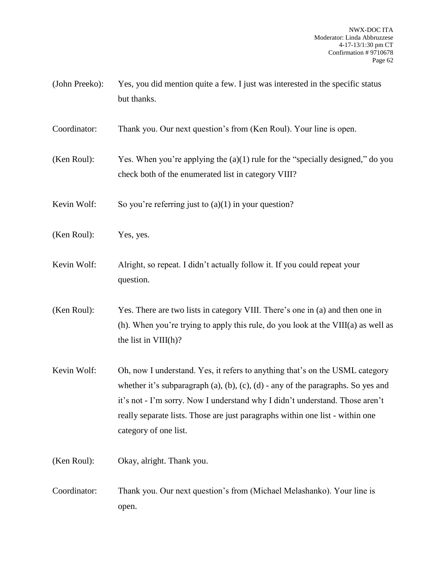(John Preeko): Yes, you did mention quite a few. I just was interested in the specific status but thanks.

Coordinator: Thank you. Our next question's from (Ken Roul). Your line is open.

(Ken Roul): Yes. When you're applying the  $(a)(1)$  rule for the "specially designed," do you check both of the enumerated list in category VIII?

Kevin Wolf: So you're referring just to  $(a)(1)$  in your question?

- (Ken Roul): Yes, yes.
- Kevin Wolf: Alright, so repeat. I didn't actually follow it. If you could repeat your question.
- (Ken Roul): Yes. There are two lists in category VIII. There's one in (a) and then one in (h). When you're trying to apply this rule, do you look at the VIII(a) as well as the list in VIII(h)?
- Kevin Wolf: Oh, now I understand. Yes, it refers to anything that's on the USML category whether it's subparagraph (a), (b), (c), (d) - any of the paragraphs. So yes and it's not - I'm sorry. Now I understand why I didn't understand. Those aren't really separate lists. Those are just paragraphs within one list - within one category of one list.
- (Ken Roul): Okay, alright. Thank you.
- Coordinator: Thank you. Our next question's from (Michael Melashanko). Your line is open.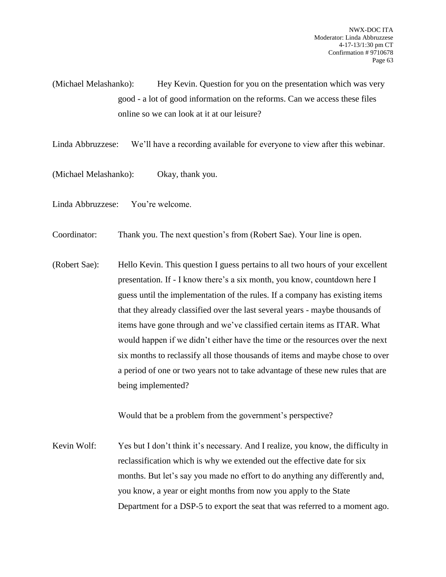(Michael Melashanko): Hey Kevin. Question for you on the presentation which was very good - a lot of good information on the reforms. Can we access these files online so we can look at it at our leisure?

Linda Abbruzzese: We'll have a recording available for everyone to view after this webinar.

(Michael Melashanko): Okay, thank you.

Linda Abbruzzese: You're welcome.

Coordinator: Thank you. The next question's from (Robert Sae). Your line is open.

(Robert Sae): Hello Kevin. This question I guess pertains to all two hours of your excellent presentation. If - I know there's a six month, you know, countdown here I guess until the implementation of the rules. If a company has existing items that they already classified over the last several years - maybe thousands of items have gone through and we've classified certain items as ITAR. What would happen if we didn't either have the time or the resources over the next six months to reclassify all those thousands of items and maybe chose to over a period of one or two years not to take advantage of these new rules that are being implemented?

Would that be a problem from the government's perspective?

Kevin Wolf: Yes but I don't think it's necessary. And I realize, you know, the difficulty in reclassification which is why we extended out the effective date for six months. But let's say you made no effort to do anything any differently and, you know, a year or eight months from now you apply to the State Department for a DSP-5 to export the seat that was referred to a moment ago.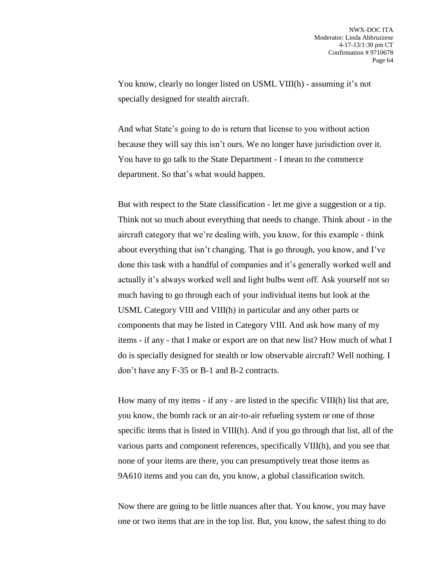You know, clearly no longer listed on USML VIII(h) - assuming it's not specially designed for stealth aircraft.

And what State's going to do is return that license to you without action because they will say this isn't ours. We no longer have jurisdiction over it. You have to go talk to the State Department - I mean to the commerce department. So that's what would happen.

But with respect to the State classification - let me give a suggestion or a tip. Think not so much about everything that needs to change. Think about - in the aircraft category that we're dealing with, you know, for this example - think about everything that isn't changing. That is go through, you know, and I've done this task with a handful of companies and it's generally worked well and actually it's always worked well and light bulbs went off. Ask yourself not so much having to go through each of your individual items but look at the USML Category VIII and VIII(h) in particular and any other parts or components that may be listed in Category VIII. And ask how many of my items - if any - that I make or export are on that new list? How much of what I do is specially designed for stealth or low observable aircraft? Well nothing. I don't have any F-35 or B-1 and B-2 contracts.

How many of my items - if any - are listed in the specific VIII(h) list that are, you know, the bomb rack or an air-to-air refueling system or one of those specific items that is listed in VIII(h). And if you go through that list, all of the various parts and component references, specifically VIII(h), and you see that none of your items are there, you can presumptively treat those items as 9A610 items and you can do, you know, a global classification switch.

Now there are going to be little nuances after that. You know, you may have one or two items that are in the top list. But, you know, the safest thing to do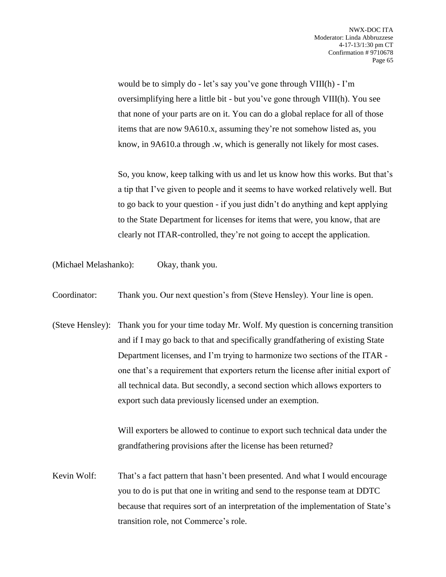would be to simply do - let's say you've gone through VIII(h) - I'm oversimplifying here a little bit - but you've gone through VIII(h). You see that none of your parts are on it. You can do a global replace for all of those items that are now 9A610.x, assuming they're not somehow listed as, you know, in 9A610.a through .w, which is generally not likely for most cases.

So, you know, keep talking with us and let us know how this works. But that's a tip that I've given to people and it seems to have worked relatively well. But to go back to your question - if you just didn't do anything and kept applying to the State Department for licenses for items that were, you know, that are clearly not ITAR-controlled, they're not going to accept the application.

(Michael Melashanko): Okay, thank you.

Coordinator: Thank you. Our next question's from (Steve Hensley). Your line is open.

(Steve Hensley): Thank you for your time today Mr. Wolf. My question is concerning transition and if I may go back to that and specifically grandfathering of existing State Department licenses, and I'm trying to harmonize two sections of the ITAR one that's a requirement that exporters return the license after initial export of all technical data. But secondly, a second section which allows exporters to export such data previously licensed under an exemption.

> Will exporters be allowed to continue to export such technical data under the grandfathering provisions after the license has been returned?

Kevin Wolf: That's a fact pattern that hasn't been presented. And what I would encourage you to do is put that one in writing and send to the response team at DDTC because that requires sort of an interpretation of the implementation of State's transition role, not Commerce's role.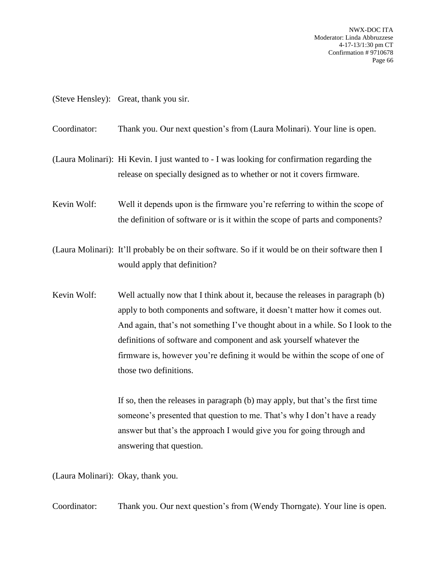NWX-DOC ITA Moderator: Linda Abbruzzese 4-17-13/1:30 pm CT Confirmation # 9710678 Page 66

(Steve Hensley): Great, thank you sir.

Coordinator: Thank you. Our next question's from (Laura Molinari). Your line is open.

(Laura Molinari): Hi Kevin. I just wanted to - I was looking for confirmation regarding the release on specially designed as to whether or not it covers firmware.

Kevin Wolf: Well it depends upon is the firmware you're referring to within the scope of the definition of software or is it within the scope of parts and components?

(Laura Molinari): It'll probably be on their software. So if it would be on their software then I would apply that definition?

Kevin Wolf: Well actually now that I think about it, because the releases in paragraph (b) apply to both components and software, it doesn't matter how it comes out. And again, that's not something I've thought about in a while. So I look to the definitions of software and component and ask yourself whatever the firmware is, however you're defining it would be within the scope of one of those two definitions.

> If so, then the releases in paragraph (b) may apply, but that's the first time someone's presented that question to me. That's why I don't have a ready answer but that's the approach I would give you for going through and answering that question.

(Laura Molinari): Okay, thank you.

Coordinator: Thank you. Our next question's from (Wendy Thorngate). Your line is open.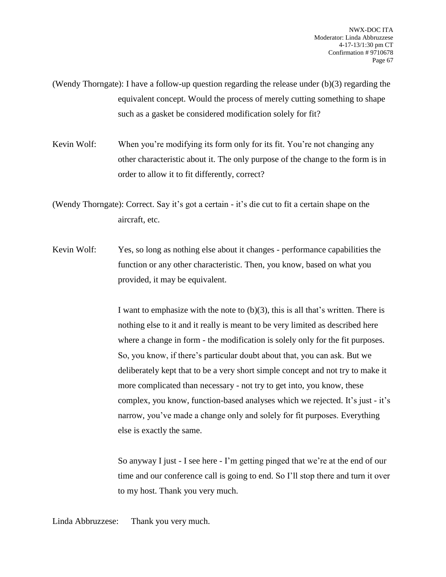(Wendy Thorngate): I have a follow-up question regarding the release under (b)(3) regarding the equivalent concept. Would the process of merely cutting something to shape such as a gasket be considered modification solely for fit?

Kevin Wolf: When you're modifying its form only for its fit. You're not changing any other characteristic about it. The only purpose of the change to the form is in order to allow it to fit differently, correct?

(Wendy Thorngate): Correct. Say it's got a certain - it's die cut to fit a certain shape on the aircraft, etc.

Kevin Wolf: Yes, so long as nothing else about it changes - performance capabilities the function or any other characteristic. Then, you know, based on what you provided, it may be equivalent.

> I want to emphasize with the note to (b)(3), this is all that's written. There is nothing else to it and it really is meant to be very limited as described here where a change in form - the modification is solely only for the fit purposes. So, you know, if there's particular doubt about that, you can ask. But we deliberately kept that to be a very short simple concept and not try to make it more complicated than necessary - not try to get into, you know, these complex, you know, function-based analyses which we rejected. It's just - it's narrow, you've made a change only and solely for fit purposes. Everything else is exactly the same.

> So anyway I just - I see here - I'm getting pinged that we're at the end of our time and our conference call is going to end. So I'll stop there and turn it over to my host. Thank you very much.

Linda Abbruzzese: Thank you very much.